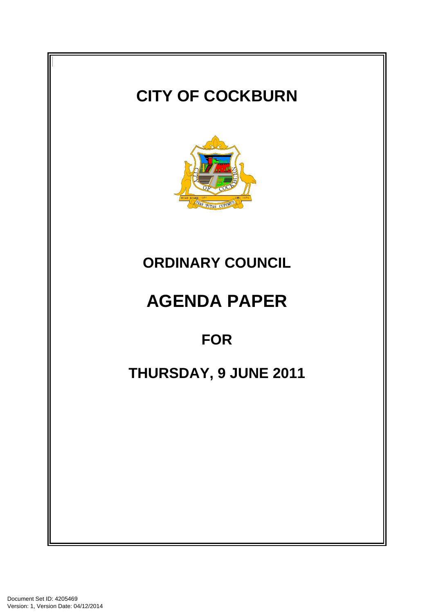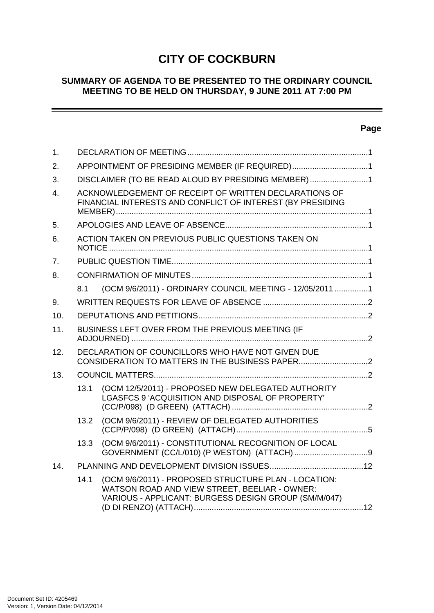# **CITY OF COCKBURN**

### **SUMMARY OF AGENDA TO BE PRESENTED TO THE ORDINARY COUNCIL MEETING TO BE HELD ON THURSDAY, 9 JUNE 2011 AT 7:00 PM**

# **Page**

 $\sim$   $\sim$ 

| 1.               |                                                                                                                     |                                                                                                                                                               |  |
|------------------|---------------------------------------------------------------------------------------------------------------------|---------------------------------------------------------------------------------------------------------------------------------------------------------------|--|
| 2.               | APPOINTMENT OF PRESIDING MEMBER (IF REQUIRED)1                                                                      |                                                                                                                                                               |  |
| 3.               | DISCLAIMER (TO BE READ ALOUD BY PRESIDING MEMBER) 1                                                                 |                                                                                                                                                               |  |
| $\overline{4}$ . | ACKNOWLEDGEMENT OF RECEIPT OF WRITTEN DECLARATIONS OF<br>FINANCIAL INTERESTS AND CONFLICT OF INTEREST (BY PRESIDING |                                                                                                                                                               |  |
| 5.               |                                                                                                                     |                                                                                                                                                               |  |
| 6.               |                                                                                                                     | ACTION TAKEN ON PREVIOUS PUBLIC QUESTIONS TAKEN ON                                                                                                            |  |
| 7 <sub>1</sub>   |                                                                                                                     |                                                                                                                                                               |  |
| 8.               |                                                                                                                     |                                                                                                                                                               |  |
|                  | 8.1                                                                                                                 | (OCM 9/6/2011) - ORDINARY COUNCIL MEETING - 12/05/2011 1                                                                                                      |  |
| 9.               |                                                                                                                     |                                                                                                                                                               |  |
| 10.              |                                                                                                                     |                                                                                                                                                               |  |
| 11.              | BUSINESS LEFT OVER FROM THE PREVIOUS MEETING (IF                                                                    |                                                                                                                                                               |  |
| 12.              |                                                                                                                     | DECLARATION OF COUNCILLORS WHO HAVE NOT GIVEN DUE                                                                                                             |  |
| 13.              |                                                                                                                     |                                                                                                                                                               |  |
|                  | 13.1                                                                                                                | (OCM 12/5/2011) - PROPOSED NEW DELEGATED AUTHORITY<br>LGASFCS 9 'ACQUISITION AND DISPOSAL OF PROPERTY'                                                        |  |
|                  | 13.2                                                                                                                | (OCM 9/6/2011) - REVIEW OF DELEGATED AUTHORITIES                                                                                                              |  |
|                  | 13.3                                                                                                                | (OCM 9/6/2011) - CONSTITUTIONAL RECOGNITION OF LOCAL                                                                                                          |  |
| 14.              |                                                                                                                     |                                                                                                                                                               |  |
|                  | 14.1                                                                                                                | (OCM 9/6/2011) - PROPOSED STRUCTURE PLAN - LOCATION:<br>WATSON ROAD AND VIEW STREET, BEELIAR - OWNER:<br>VARIOUS - APPLICANT: BURGESS DESIGN GROUP (SM/M/047) |  |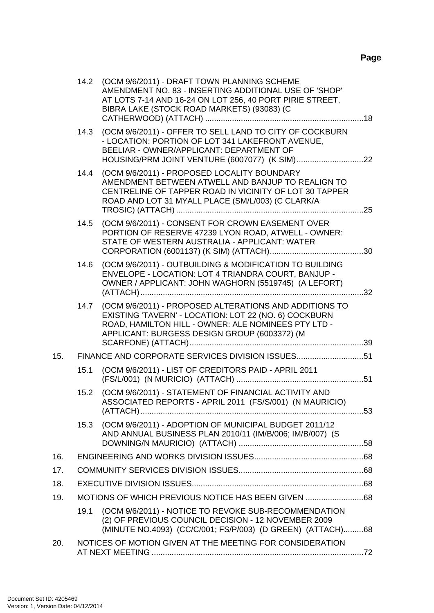|     |      | 14.2 (OCM 9/6/2011) - DRAFT TOWN PLANNING SCHEME<br>AMENDMENT NO. 83 - INSERTING ADDITIONAL USE OF 'SHOP'<br>AT LOTS 7-14 AND 16-24 ON LOT 256, 40 PORT PIRIE STREET,<br>BIBRA LAKE (STOCK ROAD MARKETS) (93083) (C    |  |
|-----|------|------------------------------------------------------------------------------------------------------------------------------------------------------------------------------------------------------------------------|--|
|     | 14.3 | (OCM 9/6/2011) - OFFER TO SELL LAND TO CITY OF COCKBURN<br>- LOCATION: PORTION OF LOT 341 LAKEFRONT AVENUE,<br>BEELIAR - OWNER/APPLICANT: DEPARTMENT OF                                                                |  |
|     | 14.4 | (OCM 9/6/2011) - PROPOSED LOCALITY BOUNDARY<br>AMENDMENT BETWEEN ATWELL AND BANJUP TO REALIGN TO<br>CENTRELINE OF TAPPER ROAD IN VICINITY OF LOT 30 TAPPER<br>ROAD AND LOT 31 MYALL PLACE (SM/L/003) (C CLARK/A        |  |
|     | 14.5 | (OCM 9/6/2011) - CONSENT FOR CROWN EASEMENT OVER<br>PORTION OF RESERVE 47239 LYON ROAD, ATWELL - OWNER:<br>STATE OF WESTERN AUSTRALIA - APPLICANT: WATER                                                               |  |
|     | 14.6 | (OCM 9/6/2011) - OUTBUILDING & MODIFICATION TO BUILDING<br>ENVELOPE - LOCATION: LOT 4 TRIANDRA COURT, BANJUP -<br>OWNER / APPLICANT: JOHN WAGHORN (5519745) (A LEFORT)                                                 |  |
|     | 14.7 | (OCM 9/6/2011) - PROPOSED ALTERATIONS AND ADDITIONS TO<br>EXISTING 'TAVERN' - LOCATION: LOT 22 (NO. 6) COCKBURN<br>ROAD, HAMILTON HILL - OWNER: ALE NOMINEES PTY LTD -<br>APPLICANT: BURGESS DESIGN GROUP (6003372) (M |  |
| 15. |      | FINANCE AND CORPORATE SERVICES DIVISION ISSUES51                                                                                                                                                                       |  |
|     | 15.1 | (OCM 9/6/2011) - LIST OF CREDITORS PAID - APRIL 2011                                                                                                                                                                   |  |
|     | 15.2 | (OCM 9/6/2011) - STATEMENT OF FINANCIAL ACTIVITY AND<br>ASSOCIATED REPORTS - APRIL 2011 (FS/S/001) (N MAURICIO)                                                                                                        |  |
|     | 15.3 | (OCM 9/6/2011) - ADOPTION OF MUNICIPAL BUDGET 2011/12<br>AND ANNUAL BUSINESS PLAN 2010/11 (IM/B/006; IM/B/007) (S                                                                                                      |  |
| 16. |      |                                                                                                                                                                                                                        |  |
| 17. |      |                                                                                                                                                                                                                        |  |
| 18. |      |                                                                                                                                                                                                                        |  |
| 19. |      | MOTIONS OF WHICH PREVIOUS NOTICE HAS BEEN GIVEN 68                                                                                                                                                                     |  |
|     | 19.1 | (OCM 9/6/2011) - NOTICE TO REVOKE SUB-RECOMMENDATION<br>(2) OF PREVIOUS COUNCIL DECISION - 12 NOVEMBER 2009<br>(MINUTE NO.4093) (CC/C/001; FS/P/003) (D GREEN) (ATTACH)68                                              |  |
| 20. |      | NOTICES OF MOTION GIVEN AT THE MEETING FOR CONSIDERATION                                                                                                                                                               |  |
|     |      |                                                                                                                                                                                                                        |  |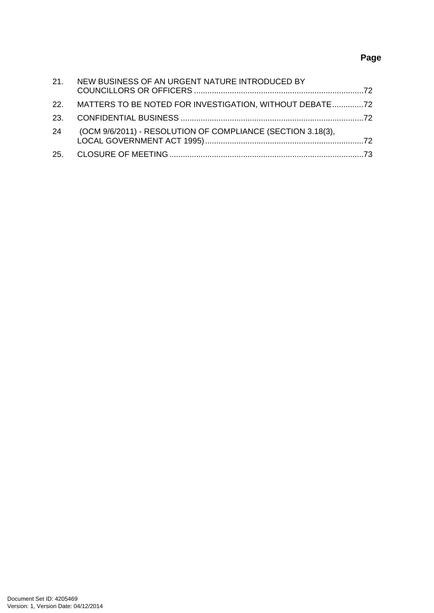# **Page**

|    | 21. NEW BUSINESS OF AN URGENT NATURE INTRODUCED BY          |  |
|----|-------------------------------------------------------------|--|
|    | 22. MATTERS TO BE NOTED FOR INVESTIGATION, WITHOUT DEBATE   |  |
|    |                                                             |  |
| 24 | (OCM 9/6/2011) - RESOLUTION OF COMPLIANCE (SECTION 3.18(3), |  |
|    |                                                             |  |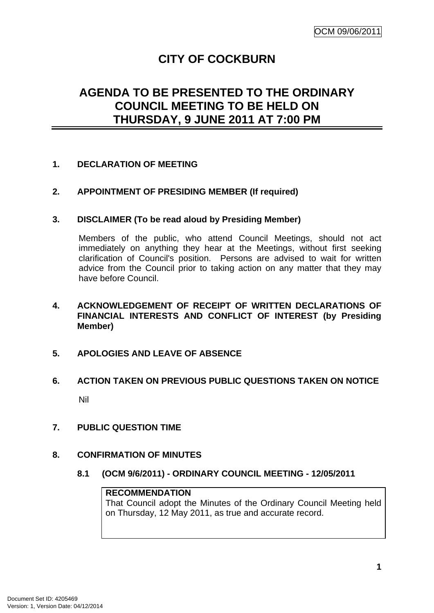# **CITY OF COCKBURN**

# <span id="page-4-0"></span>**AGENDA TO BE PRESENTED TO THE ORDINARY COUNCIL MEETING TO BE HELD ON THURSDAY, 9 JUNE 2011 AT 7:00 PM**

### **1. DECLARATION OF MEETING**

### **2. APPOINTMENT OF PRESIDING MEMBER (If required)**

### **3. DISCLAIMER (To be read aloud by Presiding Member)**

Members of the public, who attend Council Meetings, should not act immediately on anything they hear at the Meetings, without first seeking clarification of Council's position. Persons are advised to wait for written advice from the Council prior to taking action on any matter that they may have before Council.

### **4. ACKNOWLEDGEMENT OF RECEIPT OF WRITTEN DECLARATIONS OF FINANCIAL INTERESTS AND CONFLICT OF INTEREST (by Presiding Member)**

### **5. APOLOGIES AND LEAVE OF ABSENCE**

# **6. ACTION TAKEN ON PREVIOUS PUBLIC QUESTIONS TAKEN ON NOTICE**  Nil

### **7. PUBLIC QUESTION TIME**

### **8. CONFIRMATION OF MINUTES**

**8.1 (OCM 9/6/2011) - ORDINARY COUNCIL MEETING - 12/05/2011** 

### **RECOMMENDATION**

That Council adopt the Minutes of the Ordinary Council Meeting held on Thursday, 12 May 2011, as true and accurate record.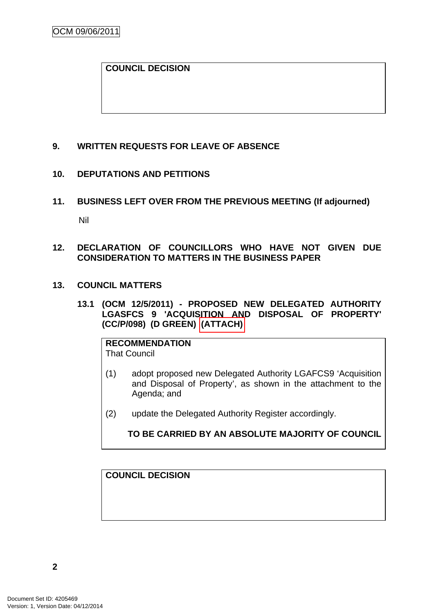### <span id="page-5-0"></span>**COUNCIL DECISION**

### **9. WRITTEN REQUESTS FOR LEAVE OF ABSENCE**

### **10. DEPUTATIONS AND PETITIONS**

**11. BUSINESS LEFT OVER FROM THE PREVIOUS MEETING (If adjourned)**  Nil

### **12. DECLARATION OF COUNCILLORS WHO HAVE NOT GIVEN DUE CONSIDERATION TO MATTERS IN THE BUSINESS PAPER**

### **13. COUNCIL MATTERS**

**13.1 (OCM 12/5/2011) - PROPOSED NEW DELEGATED AUTHORITY LGASFCS 9 'ACQUISITION AND DISPOSAL OF PROPERTY' (CC/P/098) (D GREEN) (ATTACH)** 

# **RECOMMENDATION**

- That Council
- (1) adopt proposed new Delegated Authority LGAFCS9 'Acquisition and Disposal of Property', as shown in the attachment to the Agenda; and
- (2) update the Delegated Authority Register accordingly.

**TO BE CARRIED BY AN ABSOLUTE MAJORITY OF COUNCIL**

**COUNCIL DECISION**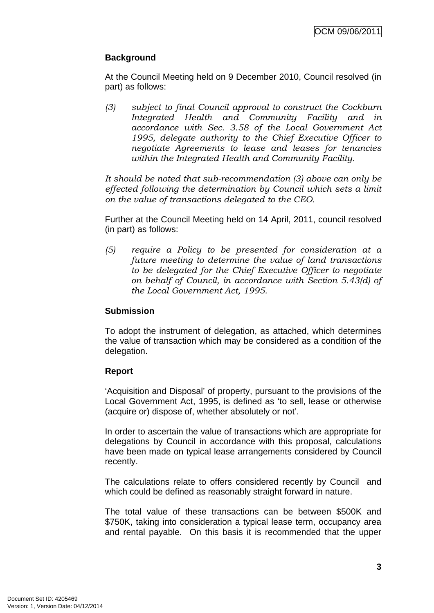# **Background**

At the Council Meeting held on 9 December 2010, Council resolved (in part) as follows:

*(3) subject to final Council approval to construct the Cockburn Integrated Health and Community Facility and in accordance with Sec. 3.58 of the Local Government Act 1995, delegate authority to the Chief Executive Officer to negotiate Agreements to lease and leases for tenancies within the Integrated Health and Community Facility.* 

*It should be noted that sub-recommendation (3) above can only be effected following the determination by Council which sets a limit on the value of transactions delegated to the CEO.* 

Further at the Council Meeting held on 14 April, 2011, council resolved (in part) as follows:

*(5) require a Policy to be presented for consideration at a future meeting to determine the value of land transactions to be delegated for the Chief Executive Officer to negotiate on behalf of Council, in accordance with Section 5.43(d) of the Local Government Act, 1995.* 

# **Submission**

To adopt the instrument of delegation, as attached, which determines the value of transaction which may be considered as a condition of the delegation.

### **Report**

'Acquisition and Disposal' of property, pursuant to the provisions of the Local Government Act, 1995, is defined as 'to sell, lease or otherwise (acquire or) dispose of, whether absolutely or not'.

In order to ascertain the value of transactions which are appropriate for delegations by Council in accordance with this proposal, calculations have been made on typical lease arrangements considered by Council recently.

The calculations relate to offers considered recently by Council and which could be defined as reasonably straight forward in nature.

The total value of these transactions can be between \$500K and \$750K, taking into consideration a typical lease term, occupancy area and rental payable. On this basis it is recommended that the upper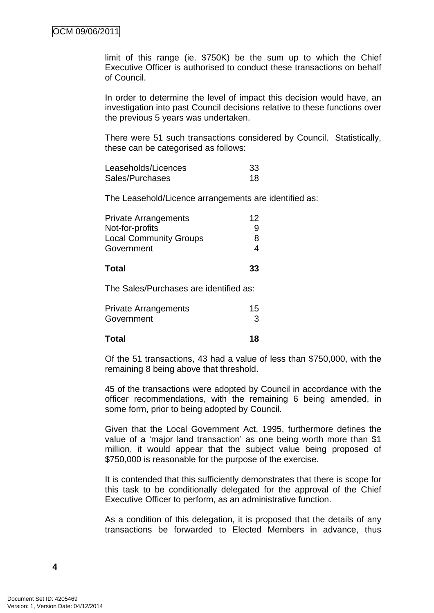limit of this range (ie. \$750K) be the sum up to which the Chief Executive Officer is authorised to conduct these transactions on behalf of Council.

In order to determine the level of impact this decision would have, an investigation into past Council decisions relative to these functions over the previous 5 years was undertaken.

There were 51 such transactions considered by Council. Statistically, these can be categorised as follows:

| Leaseholds/Licences | -33 |
|---------------------|-----|
| Sales/Purchases     | 18  |

The Leasehold/Licence arrangements are identified as:

| <b>Private Arrangements</b>            | 12 |  |
|----------------------------------------|----|--|
| Not-for-profits                        | 9  |  |
| <b>Local Community Groups</b>          | 8  |  |
| Government                             | 4  |  |
| <b>Total</b>                           | 33 |  |
| The Sales/Purchases are identified as: |    |  |

| <b>Private Arrangements</b> | 15 |
|-----------------------------|----|
| Government                  | 3  |
| <b>Total</b>                | 18 |

Of the 51 transactions, 43 had a value of less than \$750,000, with the remaining 8 being above that threshold.

45 of the transactions were adopted by Council in accordance with the officer recommendations, with the remaining 6 being amended, in some form, prior to being adopted by Council.

Given that the Local Government Act, 1995, furthermore defines the value of a 'major land transaction' as one being worth more than \$1 million, it would appear that the subject value being proposed of \$750,000 is reasonable for the purpose of the exercise.

It is contended that this sufficiently demonstrates that there is scope for this task to be conditionally delegated for the approval of the Chief Executive Officer to perform, as an administrative function.

As a condition of this delegation, it is proposed that the details of any transactions be forwarded to Elected Members in advance, thus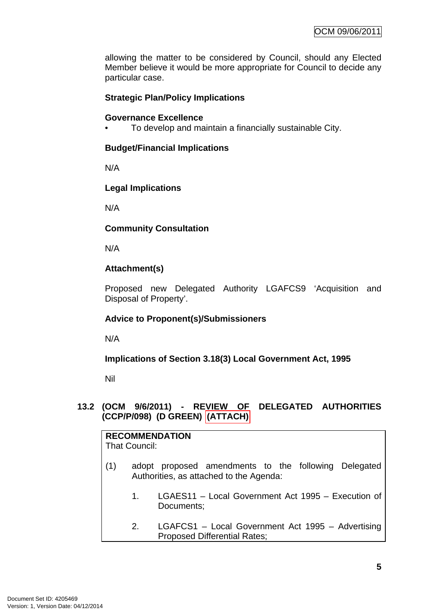<span id="page-8-0"></span>allowing the matter to be considered by Council, should any Elected Member believe it would be more appropriate for Council to decide any particular case.

# **Strategic Plan/Policy Implications**

### **Governance Excellence**

• To develop and maintain a financially sustainable City.

### **Budget/Financial Implications**

N/A

### **Legal Implications**

N/A

### **Community Consultation**

N/A

# **Attachment(s)**

Proposed new Delegated Authority LGAFCS9 'Acquisition and Disposal of Property'.

# **Advice to Proponent(s)/Submissioners**

N/A

**Implications of Section 3.18(3) Local Government Act, 1995**

Nil

### **13.2 (OCM 9/6/2011) - REVIEW OF DELEGATED AUTHORITIES (CCP/P/098) (D GREEN) (ATTACH)**

| <b>RECOMMENDATION</b><br>That Council: |    |                                                                                                 |  |
|----------------------------------------|----|-------------------------------------------------------------------------------------------------|--|
| (1)                                    |    | adopt proposed amendments to the following Delegated<br>Authorities, as attached to the Agenda: |  |
|                                        | 1. | LGAES11 – Local Government Act 1995 – Execution of<br>Documents;                                |  |
|                                        | 2. | LGAFCS1 - Local Government Act 1995 - Advertising<br><b>Proposed Differential Rates;</b>        |  |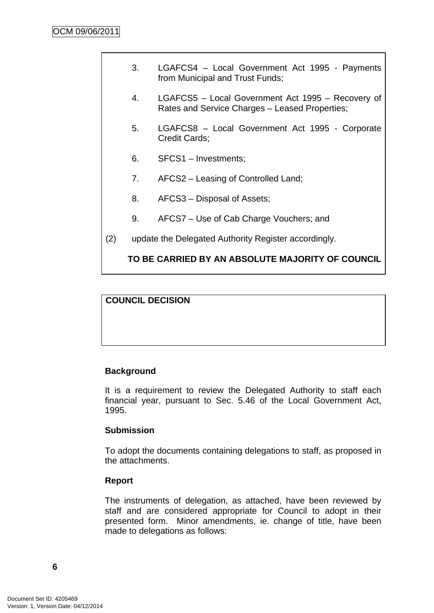| 3. | LGAFCS4 - Local Government Act 1995 - Payments<br>from Municipal and Trust Funds;                   |
|----|-----------------------------------------------------------------------------------------------------|
| 4. | LGAFCS5 - Local Government Act 1995 - Recovery of<br>Rates and Service Charges - Leased Properties; |
| 5. | LGAFCS8 - Local Government Act 1995 - Corporate<br>Credit Cards;                                    |
| 6. | SFCS1 - Investments;                                                                                |
| 7. | AFCS2 – Leasing of Controlled Land;                                                                 |
| 8. | AFCS3 – Disposal of Assets;                                                                         |

- 9. AFCS7 Use of Cab Charge Vouchers; and
- (2) update the Delegated Authority Register accordingly.

# **TO BE CARRIED BY AN ABSOLUTE MAJORITY OF COUNCIL**

### **COUNCIL DECISION**

# **Background**

It is a requirement to review the Delegated Authority to staff each financial year, pursuant to Sec. 5.46 of the Local Government Act, 1995.

### **Submission**

To adopt the documents containing delegations to staff, as proposed in the attachments.

### **Report**

The instruments of delegation, as attached, have been reviewed by staff and are considered appropriate for Council to adopt in their presented form. Minor amendments, ie. change of title, have been made to delegations as follows: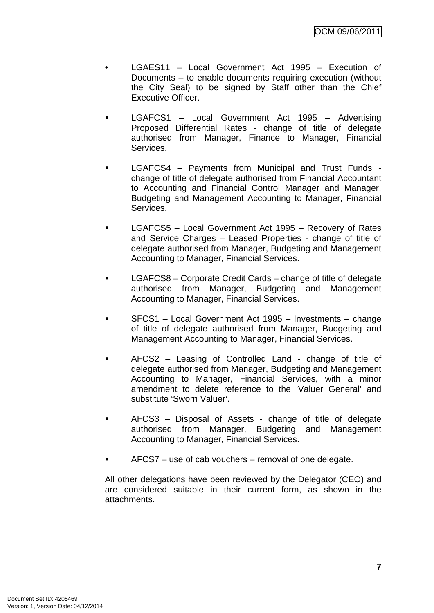- LGAES11 Local Government Act 1995 Execution of Documents – to enable documents requiring execution (without the City Seal) to be signed by Staff other than the Chief Executive Officer.
- LGAFCS1 Local Government Act 1995 Advertising Proposed Differential Rates - change of title of delegate authorised from Manager, Finance to Manager, Financial **Services**
- LGAFCS4 Payments from Municipal and Trust Funds change of title of delegate authorised from Financial Accountant to Accounting and Financial Control Manager and Manager, Budgeting and Management Accounting to Manager, Financial Services.
- **LGAFCS5** Local Government Act 1995 Recovery of Rates and Service Charges – Leased Properties - change of title of delegate authorised from Manager, Budgeting and Management Accounting to Manager, Financial Services.
- **LGAFCS8** Corporate Credit Cards change of title of delegate authorised from Manager, Budgeting and Management Accounting to Manager, Financial Services.
- SFCS1 Local Government Act 1995 Investments change of title of delegate authorised from Manager, Budgeting and Management Accounting to Manager, Financial Services.
- AFCS2 Leasing of Controlled Land change of title of delegate authorised from Manager, Budgeting and Management Accounting to Manager, Financial Services, with a minor amendment to delete reference to the 'Valuer General' and substitute 'Sworn Valuer'.
- AFCS3 Disposal of Assets change of title of delegate authorised from Manager, Budgeting and Management Accounting to Manager, Financial Services.
- AFCS7 use of cab vouchers removal of one delegate.

All other delegations have been reviewed by the Delegator (CEO) and are considered suitable in their current form, as shown in the attachments.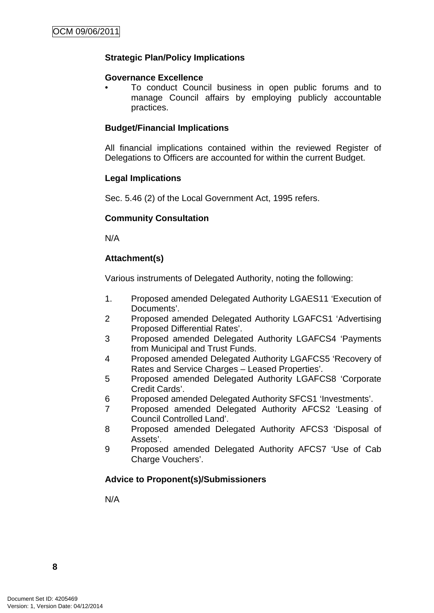# **Strategic Plan/Policy Implications**

### **Governance Excellence**

• To conduct Council business in open public forums and to manage Council affairs by employing publicly accountable practices.

### **Budget/Financial Implications**

All financial implications contained within the reviewed Register of Delegations to Officers are accounted for within the current Budget.

### **Legal Implications**

Sec. 5.46 (2) of the Local Government Act, 1995 refers.

### **Community Consultation**

N/A

# **Attachment(s)**

Various instruments of Delegated Authority, noting the following:

- 1. Proposed amended Delegated Authority LGAES11 'Execution of Documents'.
- 2 Proposed amended Delegated Authority LGAFCS1 'Advertising Proposed Differential Rates'.
- 3 Proposed amended Delegated Authority LGAFCS4 'Payments from Municipal and Trust Funds.
- 4 Proposed amended Delegated Authority LGAFCS5 'Recovery of Rates and Service Charges – Leased Properties'.
- 5 Proposed amended Delegated Authority LGAFCS8 'Corporate Credit Cards'.
- 6 Proposed amended Delegated Authority SFCS1 'Investments'.
- 7 Proposed amended Delegated Authority AFCS2 'Leasing of Council Controlled Land'.
- 8 Proposed amended Delegated Authority AFCS3 'Disposal of Assets'.
- 9 Proposed amended Delegated Authority AFCS7 'Use of Cab Charge Vouchers'.

# **Advice to Proponent(s)/Submissioners**

N/A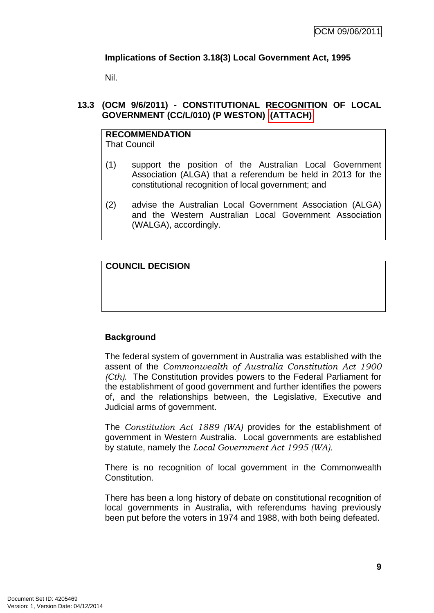# <span id="page-12-0"></span>**Implications of Section 3.18(3) Local Government Act, 1995**

Nil.

# **13.3 (OCM 9/6/2011) - CONSTITUTIONAL RECOGNITION OF LOCAL GOVERNMENT (CC/L/010) (P WESTON) (ATTACH)**

# **RECOMMENDATION**

That Council

- (1) support the position of the Australian Local Government Association (ALGA) that a referendum be held in 2013 for the constitutional recognition of local government; and
- (2) advise the Australian Local Government Association (ALGA) and the Western Australian Local Government Association (WALGA), accordingly.

# **COUNCIL DECISION**

# **Background**

The federal system of government in Australia was established with the assent of the *Commonwealth of Australia Constitution Act 1900 (Cth).* The Constitution provides powers to the Federal Parliament for the establishment of good government and further identifies the powers of, and the relationships between, the Legislative, Executive and Judicial arms of government.

The *Constitution Act 1889 (WA)* provides for the establishment of government in Western Australia. Local governments are established by statute, namely the *Local Government Act 1995 (WA).*

There is no recognition of local government in the Commonwealth Constitution.

There has been a long history of debate on constitutional recognition of local governments in Australia, with referendums having previously been put before the voters in 1974 and 1988, with both being defeated.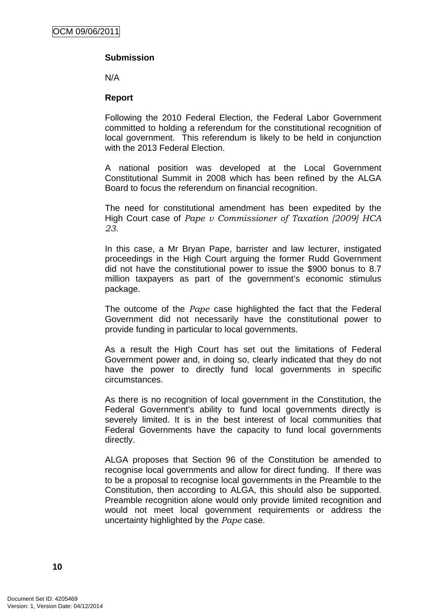## **Submission**

N/A

### **Report**

Following the 2010 Federal Election, the Federal Labor Government committed to holding a referendum for the constitutional recognition of local government. This referendum is likely to be held in conjunction with the 2013 Federal Election.

A national position was developed at the Local Government Constitutional Summit in 2008 which has been refined by the ALGA Board to focus the referendum on financial recognition.

The need for constitutional amendment has been expedited by the High Court case of *Pape v Commissioner of Taxation [2009] HCA 23*.

In this case, a Mr Bryan Pape, barrister and law lecturer, instigated proceedings in the High Court arguing the former Rudd Government did not have the constitutional power to issue the \$900 bonus to 8.7 million taxpayers as part of the government's economic stimulus package.

The outcome of the *Pape* case highlighted the fact that the Federal Government did not necessarily have the constitutional power to provide funding in particular to local governments.

As a result the High Court has set out the limitations of Federal Government power and, in doing so, clearly indicated that they do not have the power to directly fund local governments in specific circumstances.

As there is no recognition of local government in the Constitution, the Federal Government's ability to fund local governments directly is severely limited. It is in the best interest of local communities that Federal Governments have the capacity to fund local governments directly.

ALGA proposes that Section 96 of the Constitution be amended to recognise local governments and allow for direct funding. If there was to be a proposal to recognise local governments in the Preamble to the Constitution, then according to ALGA, this should also be supported. Preamble recognition alone would only provide limited recognition and would not meet local government requirements or address the uncertainty highlighted by the *Pape* case.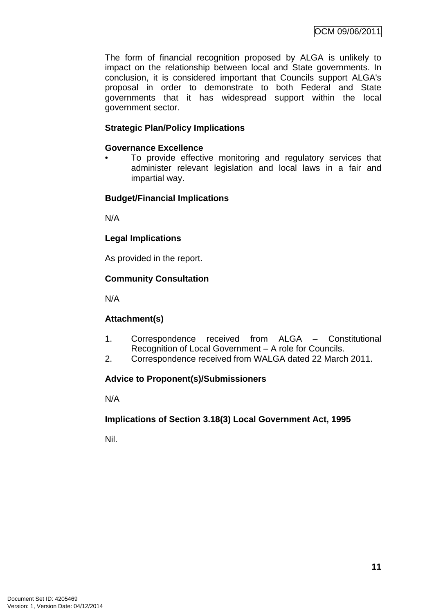The form of financial recognition proposed by ALGA is unlikely to impact on the relationship between local and State governments. In conclusion, it is considered important that Councils support ALGA's proposal in order to demonstrate to both Federal and State governments that it has widespread support within the local government sector.

### **Strategic Plan/Policy Implications**

### **Governance Excellence**

To provide effective monitoring and regulatory services that administer relevant legislation and local laws in a fair and impartial way.

### **Budget/Financial Implications**

N/A

### **Legal Implications**

As provided in the report.

### **Community Consultation**

N/A

# **Attachment(s)**

- 1. Correspondence received from ALGA Constitutional Recognition of Local Government – A role for Councils.
- 2. Correspondence received from WALGA dated 22 March 2011.

# **Advice to Proponent(s)/Submissioners**

N/A

# **Implications of Section 3.18(3) Local Government Act, 1995**

Nil.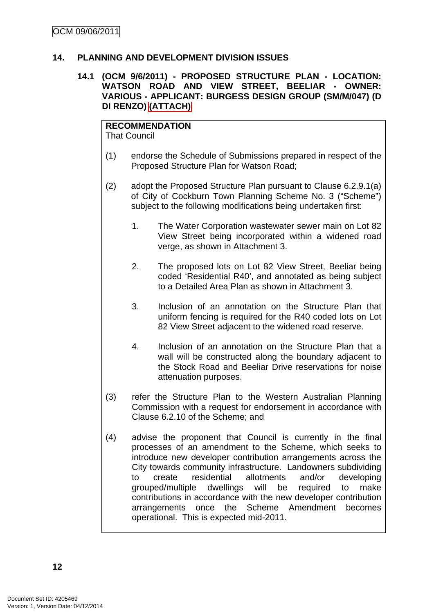### <span id="page-15-0"></span>**14. PLANNING AND DEVELOPMENT DIVISION ISSUES**

### **14.1 (OCM 9/6/2011) - PROPOSED STRUCTURE PLAN - LOCATION: WATSON ROAD AND VIEW STREET, BEELIAR - OWNER: VARIOUS - APPLICANT: BURGESS DESIGN GROUP (SM/M/047) (D DI RENZO) (ATTACH)**

#### **RECOMMENDATION** That Council

- (1) endorse the Schedule of Submissions prepared in respect of the Proposed Structure Plan for Watson Road;
- (2) adopt the Proposed Structure Plan pursuant to Clause 6.2.9.1(a) of City of Cockburn Town Planning Scheme No. 3 ("Scheme") subject to the following modifications being undertaken first:
	- 1. The Water Corporation wastewater sewer main on Lot 82 View Street being incorporated within a widened road verge, as shown in Attachment 3.
	- 2. The proposed lots on Lot 82 View Street, Beeliar being coded 'Residential R40', and annotated as being subject to a Detailed Area Plan as shown in Attachment 3.
	- 3. Inclusion of an annotation on the Structure Plan that uniform fencing is required for the R40 coded lots on Lot 82 View Street adjacent to the widened road reserve.
	- 4. Inclusion of an annotation on the Structure Plan that a wall will be constructed along the boundary adjacent to the Stock Road and Beeliar Drive reservations for noise attenuation purposes.
- (3) refer the Structure Plan to the Western Australian Planning Commission with a request for endorsement in accordance with Clause 6.2.10 of the Scheme; and
- (4) advise the proponent that Council is currently in the final processes of an amendment to the Scheme, which seeks to introduce new developer contribution arrangements across the City towards community infrastructure. Landowners subdividing to create residential allotments and/or developing grouped/multiple dwellings will be required to make contributions in accordance with the new developer contribution arrangements once the Scheme Amendment becomes operational. This is expected mid-2011.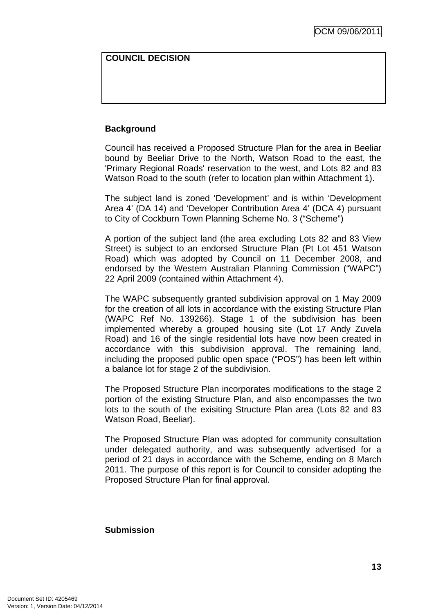### **COUNCIL DECISION**

## **Background**

Council has received a Proposed Structure Plan for the area in Beeliar bound by Beeliar Drive to the North, Watson Road to the east, the 'Primary Regional Roads' reservation to the west, and Lots 82 and 83 Watson Road to the south (refer to location plan within Attachment 1).

The subject land is zoned 'Development' and is within 'Development Area 4' (DA 14) and 'Developer Contribution Area 4' (DCA 4) pursuant to City of Cockburn Town Planning Scheme No. 3 ("Scheme")

A portion of the subject land (the area excluding Lots 82 and 83 View Street) is subject to an endorsed Structure Plan (Pt Lot 451 Watson Road) which was adopted by Council on 11 December 2008, and endorsed by the Western Australian Planning Commission ("WAPC") 22 April 2009 (contained within Attachment 4).

The WAPC subsequently granted subdivision approval on 1 May 2009 for the creation of all lots in accordance with the existing Structure Plan (WAPC Ref No. 139266). Stage 1 of the subdivision has been implemented whereby a grouped housing site (Lot 17 Andy Zuvela Road) and 16 of the single residential lots have now been created in accordance with this subdivision approval. The remaining land, including the proposed public open space ("POS") has been left within a balance lot for stage 2 of the subdivision.

The Proposed Structure Plan incorporates modifications to the stage 2 portion of the existing Structure Plan, and also encompasses the two lots to the south of the exisiting Structure Plan area (Lots 82 and 83 Watson Road, Beeliar).

The Proposed Structure Plan was adopted for community consultation under delegated authority, and was subsequently advertised for a period of 21 days in accordance with the Scheme, ending on 8 March 2011. The purpose of this report is for Council to consider adopting the Proposed Structure Plan for final approval.

### **Submission**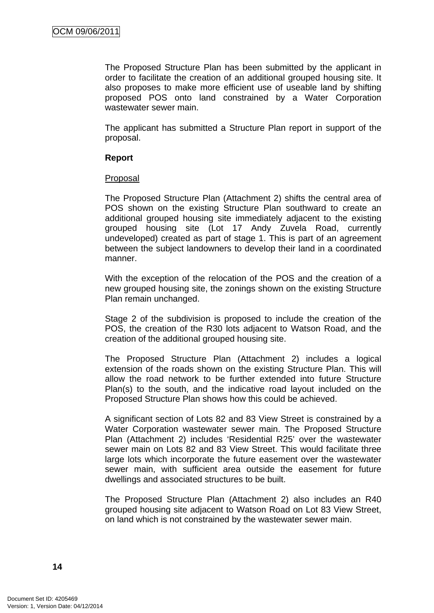The Proposed Structure Plan has been submitted by the applicant in order to facilitate the creation of an additional grouped housing site. It also proposes to make more efficient use of useable land by shifting proposed POS onto land constrained by a Water Corporation wastewater sewer main.

The applicant has submitted a Structure Plan report in support of the proposal.

### **Report**

### **Proposal**

The Proposed Structure Plan (Attachment 2) shifts the central area of POS shown on the existing Structure Plan southward to create an additional grouped housing site immediately adjacent to the existing grouped housing site (Lot 17 Andy Zuvela Road, currently undeveloped) created as part of stage 1. This is part of an agreement between the subject landowners to develop their land in a coordinated manner.

With the exception of the relocation of the POS and the creation of a new grouped housing site, the zonings shown on the existing Structure Plan remain unchanged.

Stage 2 of the subdivision is proposed to include the creation of the POS, the creation of the R30 lots adjacent to Watson Road, and the creation of the additional grouped housing site.

The Proposed Structure Plan (Attachment 2) includes a logical extension of the roads shown on the existing Structure Plan. This will allow the road network to be further extended into future Structure Plan(s) to the south, and the indicative road layout included on the Proposed Structure Plan shows how this could be achieved.

A significant section of Lots 82 and 83 View Street is constrained by a Water Corporation wastewater sewer main. The Proposed Structure Plan (Attachment 2) includes 'Residential R25' over the wastewater sewer main on Lots 82 and 83 View Street. This would facilitate three large lots which incorporate the future easement over the wastewater sewer main, with sufficient area outside the easement for future dwellings and associated structures to be built.

The Proposed Structure Plan (Attachment 2) also includes an R40 grouped housing site adjacent to Watson Road on Lot 83 View Street, on land which is not constrained by the wastewater sewer main.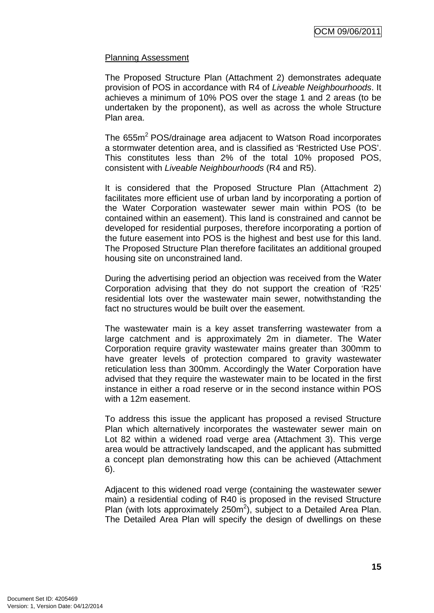### Planning Assessment

The Proposed Structure Plan (Attachment 2) demonstrates adequate provision of POS in accordance with R4 of *Liveable Neighbourhoods*. It achieves a minimum of 10% POS over the stage 1 and 2 areas (to be undertaken by the proponent), as well as across the whole Structure Plan area.

The 655m<sup>2</sup> POS/drainage area adjacent to Watson Road incorporates a stormwater detention area, and is classified as 'Restricted Use POS'. This constitutes less than 2% of the total 10% proposed POS, consistent with *Liveable Neighbourhoods* (R4 and R5).

It is considered that the Proposed Structure Plan (Attachment 2) facilitates more efficient use of urban land by incorporating a portion of the Water Corporation wastewater sewer main within POS (to be contained within an easement). This land is constrained and cannot be developed for residential purposes, therefore incorporating a portion of the future easement into POS is the highest and best use for this land. The Proposed Structure Plan therefore facilitates an additional grouped housing site on unconstrained land.

During the advertising period an objection was received from the Water Corporation advising that they do not support the creation of 'R25' residential lots over the wastewater main sewer, notwithstanding the fact no structures would be built over the easement.

The wastewater main is a key asset transferring wastewater from a large catchment and is approximately 2m in diameter. The Water Corporation require gravity wastewater mains greater than 300mm to have greater levels of protection compared to gravity wastewater reticulation less than 300mm. Accordingly the Water Corporation have advised that they require the wastewater main to be located in the first instance in either a road reserve or in the second instance within POS with a 12m easement.

To address this issue the applicant has proposed a revised Structure Plan which alternatively incorporates the wastewater sewer main on Lot 82 within a widened road verge area (Attachment 3). This verge area would be attractively landscaped, and the applicant has submitted a concept plan demonstrating how this can be achieved (Attachment 6).

Adjacent to this widened road verge (containing the wastewater sewer main) a residential coding of R40 is proposed in the revised Structure Plan (with lots approximately  $250m^2$ ), subject to a Detailed Area Plan. The Detailed Area Plan will specify the design of dwellings on these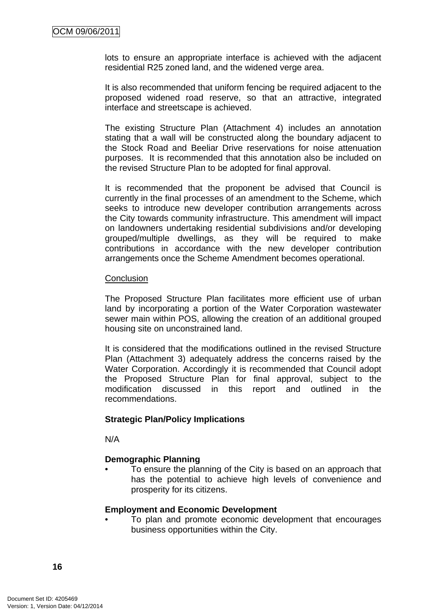lots to ensure an appropriate interface is achieved with the adjacent residential R25 zoned land, and the widened verge area.

It is also recommended that uniform fencing be required adjacent to the proposed widened road reserve, so that an attractive, integrated interface and streetscape is achieved.

The existing Structure Plan (Attachment 4) includes an annotation stating that a wall will be constructed along the boundary adjacent to the Stock Road and Beeliar Drive reservations for noise attenuation purposes. It is recommended that this annotation also be included on the revised Structure Plan to be adopted for final approval.

It is recommended that the proponent be advised that Council is currently in the final processes of an amendment to the Scheme, which seeks to introduce new developer contribution arrangements across the City towards community infrastructure. This amendment will impact on landowners undertaking residential subdivisions and/or developing grouped/multiple dwellings, as they will be required to make contributions in accordance with the new developer contribution arrangements once the Scheme Amendment becomes operational.

### **Conclusion**

The Proposed Structure Plan facilitates more efficient use of urban land by incorporating a portion of the Water Corporation wastewater sewer main within POS, allowing the creation of an additional grouped housing site on unconstrained land.

It is considered that the modifications outlined in the revised Structure Plan (Attachment 3) adequately address the concerns raised by the Water Corporation. Accordingly it is recommended that Council adopt the Proposed Structure Plan for final approval, subject to the modification discussed in this report and outlined in the recommendations.

### **Strategic Plan/Policy Implications**

N/A

### **Demographic Planning**

To ensure the planning of the City is based on an approach that has the potential to achieve high levels of convenience and prosperity for its citizens.

### **Employment and Economic Development**

• To plan and promote economic development that encourages business opportunities within the City.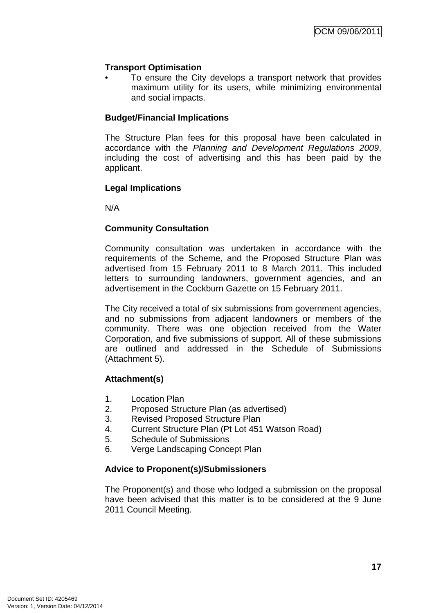### **Transport Optimisation**

To ensure the City develops a transport network that provides maximum utility for its users, while minimizing environmental and social impacts.

### **Budget/Financial Implications**

The Structure Plan fees for this proposal have been calculated in accordance with the *Planning and Development Regulations 2009*, including the cost of advertising and this has been paid by the applicant.

### **Legal Implications**

N/A

### **Community Consultation**

Community consultation was undertaken in accordance with the requirements of the Scheme, and the Proposed Structure Plan was advertised from 15 February 2011 to 8 March 2011. This included letters to surrounding landowners, government agencies, and an advertisement in the Cockburn Gazette on 15 February 2011.

The City received a total of six submissions from government agencies, and no submissions from adjacent landowners or members of the community. There was one objection received from the Water Corporation, and five submissions of support. All of these submissions are outlined and addressed in the Schedule of Submissions (Attachment 5).

### **Attachment(s)**

- 1. Location Plan
- 2. Proposed Structure Plan (as advertised)
- 3. Revised Proposed Structure Plan
- 4. Current Structure Plan (Pt Lot 451 Watson Road)
- 5. Schedule of Submissions
- 6. Verge Landscaping Concept Plan

### **Advice to Proponent(s)/Submissioners**

The Proponent(s) and those who lodged a submission on the proposal have been advised that this matter is to be considered at the 9 June 2011 Council Meeting.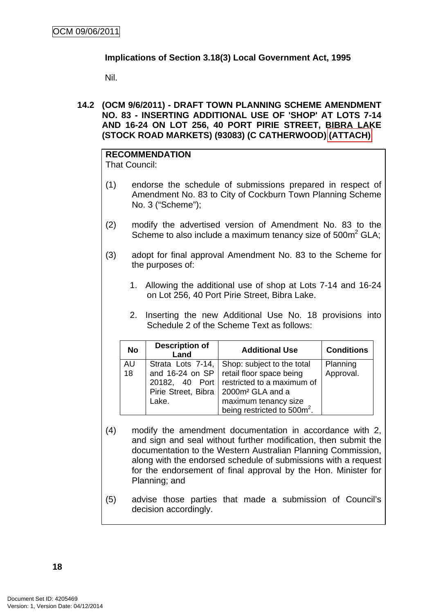## <span id="page-21-0"></span>**Implications of Section 3.18(3) Local Government Act, 1995**

Nil.

**14.2 (OCM 9/6/2011) - DRAFT TOWN PLANNING SCHEME AMENDMENT NO. 83 - INSERTING ADDITIONAL USE OF 'SHOP' AT LOTS 7-14 AND 16-24 ON LOT 256, 40 PORT PIRIE STREET, BIBRA LAKE (STOCK ROAD MARKETS) (93083) (C CATHERWOOD) (ATTACH)** 

# **RECOMMENDATION**

That Council:

- (1) endorse the schedule of submissions prepared in respect of Amendment No. 83 to City of Cockburn Town Planning Scheme No. 3 ("Scheme");
- (2) modify the advertised version of Amendment No. 83 to the Scheme to also include a maximum tenancy size of  $500m^2$  GLA;
- (3) adopt for final approval Amendment No. 83 to the Scheme for the purposes of:
	- 1. Allowing the additional use of shop at Lots 7-14 and 16-24 on Lot 256, 40 Port Pirie Street, Bibra Lake.
	- 2. Inserting the new Additional Use No. 18 provisions into Schedule 2 of the Scheme Text as follows:

| <b>No</b> | <b>Description of</b><br>Land | <b>Additional Use</b>                              | <b>Conditions</b> |
|-----------|-------------------------------|----------------------------------------------------|-------------------|
| AU        | Strata Lots 7-14,             | Shop: subject to the total                         | Planning          |
| 18        |                               | and 16-24 on SP   retail floor space being         | Approval.         |
|           |                               | 20182, 40 Port restricted to a maximum of          |                   |
|           |                               | Pirie Street, Bibra   2000m <sup>2</sup> GLA and a |                   |
|           | Lake.                         | maximum tenancy size                               |                   |
|           |                               | being restricted to 500m <sup>2</sup> .            |                   |

- (4) modify the amendment documentation in accordance with 2, and sign and seal without further modification, then submit the documentation to the Western Australian Planning Commission, along with the endorsed schedule of submissions with a request for the endorsement of final approval by the Hon. Minister for Planning; and
- (5) advise those parties that made a submission of Council's decision accordingly.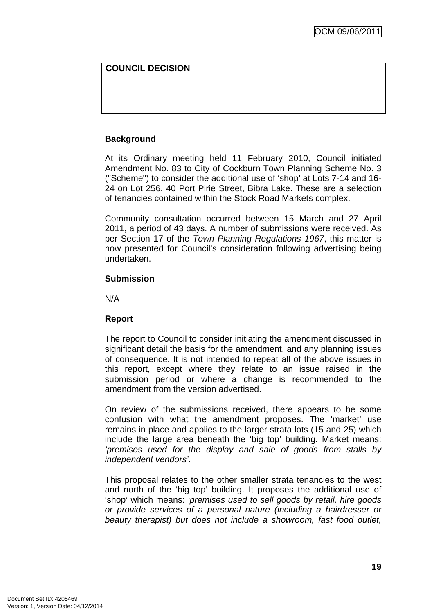# **COUNCIL DECISION**

### **Background**

At its Ordinary meeting held 11 February 2010, Council initiated Amendment No. 83 to City of Cockburn Town Planning Scheme No. 3 ("Scheme") to consider the additional use of 'shop' at Lots 7-14 and 16- 24 on Lot 256, 40 Port Pirie Street, Bibra Lake. These are a selection of tenancies contained within the Stock Road Markets complex.

Community consultation occurred between 15 March and 27 April 2011, a period of 43 days. A number of submissions were received. As per Section 17 of the *Town Planning Regulations 1967*, this matter is now presented for Council's consideration following advertising being undertaken.

### **Submission**

N/A

### **Report**

The report to Council to consider initiating the amendment discussed in significant detail the basis for the amendment, and any planning issues of consequence. It is not intended to repeat all of the above issues in this report, except where they relate to an issue raised in the submission period or where a change is recommended to the amendment from the version advertised.

On review of the submissions received, there appears to be some confusion with what the amendment proposes. The 'market' use remains in place and applies to the larger strata lots (15 and 25) which include the large area beneath the 'big top' building. Market means: *'premises used for the display and sale of goods from stalls by independent vendors'*.

This proposal relates to the other smaller strata tenancies to the west and north of the 'big top' building. It proposes the additional use of 'shop' which means: *'premises used to sell goods by retail, hire goods or provide services of a personal nature (including a hairdresser or beauty therapist) but does not include a showroom, fast food outlet,*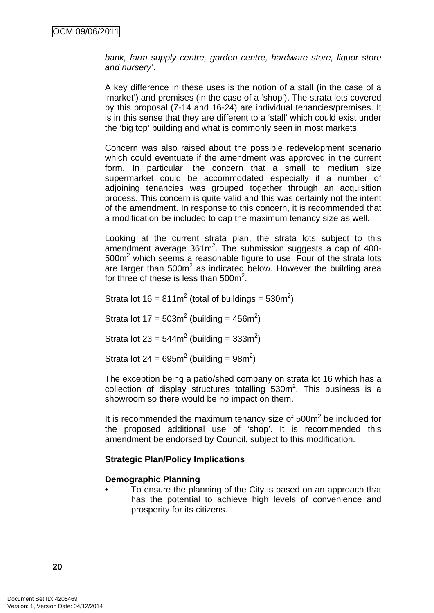*bank, farm supply centre, garden centre, hardware store, liquor store and nursery'*.

A key difference in these uses is the notion of a stall (in the case of a 'market') and premises (in the case of a 'shop'). The strata lots covered by this proposal (7-14 and 16-24) are individual tenancies/premises. It is in this sense that they are different to a 'stall' which could exist under the 'big top' building and what is commonly seen in most markets.

Concern was also raised about the possible redevelopment scenario which could eventuate if the amendment was approved in the current form. In particular, the concern that a small to medium size supermarket could be accommodated especially if a number of adjoining tenancies was grouped together through an acquisition process. This concern is quite valid and this was certainly not the intent of the amendment. In response to this concern, it is recommended that a modification be included to cap the maximum tenancy size as well.

Looking at the current strata plan, the strata lots subject to this amendment average  $361m^2$ . The submission suggests a cap of 400- $500m<sup>2</sup>$  which seems a reasonable figure to use. Four of the strata lots are larger than  $500m^2$  as indicated below. However the building area for three of these is less than  $500m^2$ .

Strata lot  $16 = 811 \text{m}^2$  (total of buildings = 530m<sup>2</sup>)

Strata lot  $17 = 503m^2$  (building = 456m<sup>2</sup>)

Strata lot 23 =  $544m^2$  (building =  $333m^2$ )

Strata lot 24 =  $695m^2$  (building =  $98m^2$ )

The exception being a patio/shed company on strata lot 16 which has a  $collection$  of display structures totalling  $530m^2$ . This business is a showroom so there would be no impact on them.

It is recommended the maximum tenancy size of  $500m<sup>2</sup>$  be included for the proposed additional use of 'shop'. It is recommended this amendment be endorsed by Council, subject to this modification.

### **Strategic Plan/Policy Implications**

### **Demographic Planning**

• To ensure the planning of the City is based on an approach that has the potential to achieve high levels of convenience and prosperity for its citizens.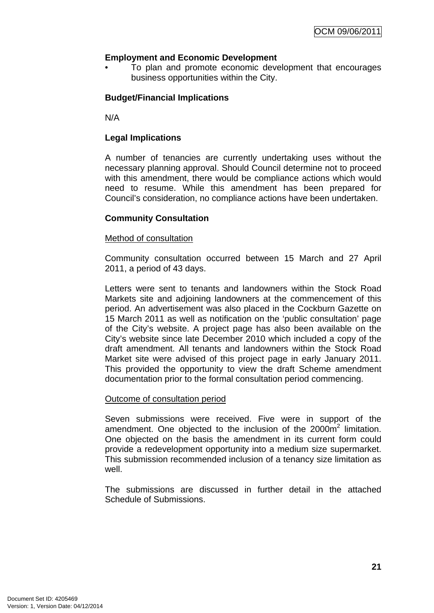## **Employment and Economic Development**

• To plan and promote economic development that encourages business opportunities within the City.

## **Budget/Financial Implications**

N/A

### **Legal Implications**

A number of tenancies are currently undertaking uses without the necessary planning approval. Should Council determine not to proceed with this amendment, there would be compliance actions which would need to resume. While this amendment has been prepared for Council's consideration, no compliance actions have been undertaken.

### **Community Consultation**

### Method of consultation

Community consultation occurred between 15 March and 27 April 2011, a period of 43 days.

Letters were sent to tenants and landowners within the Stock Road Markets site and adjoining landowners at the commencement of this period. An advertisement was also placed in the Cockburn Gazette on 15 March 2011 as well as notification on the 'public consultation' page of the City's website. A project page has also been available on the City's website since late December 2010 which included a copy of the draft amendment. All tenants and landowners within the Stock Road Market site were advised of this project page in early January 2011. This provided the opportunity to view the draft Scheme amendment documentation prior to the formal consultation period commencing.

### Outcome of consultation period

Seven submissions were received. Five were in support of the amendment. One objected to the inclusion of the  $2000m^2$  limitation. One objected on the basis the amendment in its current form could provide a redevelopment opportunity into a medium size supermarket. This submission recommended inclusion of a tenancy size limitation as well.

The submissions are discussed in further detail in the attached Schedule of Submissions.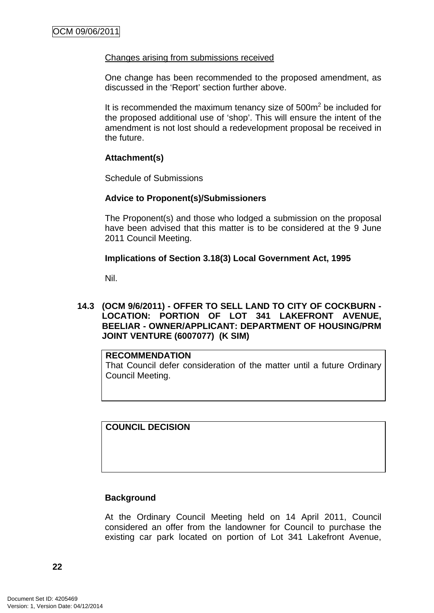### <span id="page-25-0"></span>Changes arising from submissions received

One change has been recommended to the proposed amendment, as discussed in the 'Report' section further above.

It is recommended the maximum tenancy size of  $500m<sup>2</sup>$  be included for the proposed additional use of 'shop'. This will ensure the intent of the amendment is not lost should a redevelopment proposal be received in the future.

### **Attachment(s)**

Schedule of Submissions

### **Advice to Proponent(s)/Submissioners**

The Proponent(s) and those who lodged a submission on the proposal have been advised that this matter is to be considered at the 9 June 2011 Council Meeting.

### **Implications of Section 3.18(3) Local Government Act, 1995**

Nil.

### **14.3 (OCM 9/6/2011) - OFFER TO SELL LAND TO CITY OF COCKBURN - LOCATION: PORTION OF LOT 341 LAKEFRONT AVENUE, BEELIAR - OWNER/APPLICANT: DEPARTMENT OF HOUSING/PRM JOINT VENTURE (6007077) (K SIM)**

### **RECOMMENDATION**

That Council defer consideration of the matter until a future Ordinary Council Meeting.

**COUNCIL DECISION** 

# **Background**

At the Ordinary Council Meeting held on 14 April 2011, Council considered an offer from the landowner for Council to purchase the existing car park located on portion of Lot 341 Lakefront Avenue,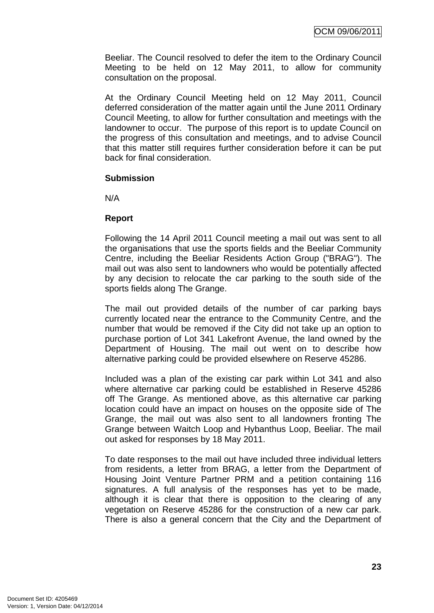Beeliar. The Council resolved to defer the item to the Ordinary Council Meeting to be held on 12 May 2011, to allow for community consultation on the proposal.

At the Ordinary Council Meeting held on 12 May 2011, Council deferred consideration of the matter again until the June 2011 Ordinary Council Meeting, to allow for further consultation and meetings with the landowner to occur. The purpose of this report is to update Council on the progress of this consultation and meetings, and to advise Council that this matter still requires further consideration before it can be put back for final consideration.

### **Submission**

N/A

### **Report**

Following the 14 April 2011 Council meeting a mail out was sent to all the organisations that use the sports fields and the Beeliar Community Centre, including the Beeliar Residents Action Group ("BRAG"). The mail out was also sent to landowners who would be potentially affected by any decision to relocate the car parking to the south side of the sports fields along The Grange.

The mail out provided details of the number of car parking bays currently located near the entrance to the Community Centre, and the number that would be removed if the City did not take up an option to purchase portion of Lot 341 Lakefront Avenue, the land owned by the Department of Housing. The mail out went on to describe how alternative parking could be provided elsewhere on Reserve 45286.

Included was a plan of the existing car park within Lot 341 and also where alternative car parking could be established in Reserve 45286 off The Grange. As mentioned above, as this alternative car parking location could have an impact on houses on the opposite side of The Grange, the mail out was also sent to all landowners fronting The Grange between Waitch Loop and Hybanthus Loop, Beeliar. The mail out asked for responses by 18 May 2011.

To date responses to the mail out have included three individual letters from residents, a letter from BRAG, a letter from the Department of Housing Joint Venture Partner PRM and a petition containing 116 signatures. A full analysis of the responses has yet to be made, although it is clear that there is opposition to the clearing of any vegetation on Reserve 45286 for the construction of a new car park. There is also a general concern that the City and the Department of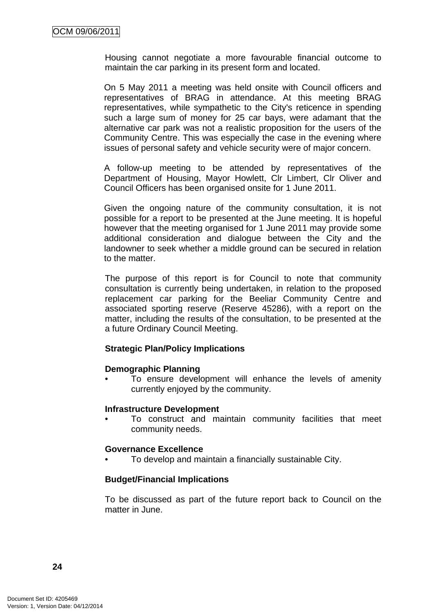Housing cannot negotiate a more favourable financial outcome to maintain the car parking in its present form and located.

On 5 May 2011 a meeting was held onsite with Council officers and representatives of BRAG in attendance. At this meeting BRAG representatives, while sympathetic to the City's reticence in spending such a large sum of money for 25 car bays, were adamant that the alternative car park was not a realistic proposition for the users of the Community Centre. This was especially the case in the evening where issues of personal safety and vehicle security were of major concern.

A follow-up meeting to be attended by representatives of the Department of Housing, Mayor Howlett, Clr Limbert, Clr Oliver and Council Officers has been organised onsite for 1 June 2011.

Given the ongoing nature of the community consultation, it is not possible for a report to be presented at the June meeting. It is hopeful however that the meeting organised for 1 June 2011 may provide some additional consideration and dialogue between the City and the landowner to seek whether a middle ground can be secured in relation to the matter.

The purpose of this report is for Council to note that community consultation is currently being undertaken, in relation to the proposed replacement car parking for the Beeliar Community Centre and associated sporting reserve (Reserve 45286), with a report on the matter, including the results of the consultation, to be presented at the a future Ordinary Council Meeting.

### **Strategic Plan/Policy Implications**

### **Demographic Planning**

To ensure development will enhance the levels of amenity currently enjoyed by the community.

### **Infrastructure Development**

• To construct and maintain community facilities that meet community needs.

### **Governance Excellence**

• To develop and maintain a financially sustainable City.

### **Budget/Financial Implications**

To be discussed as part of the future report back to Council on the matter in June.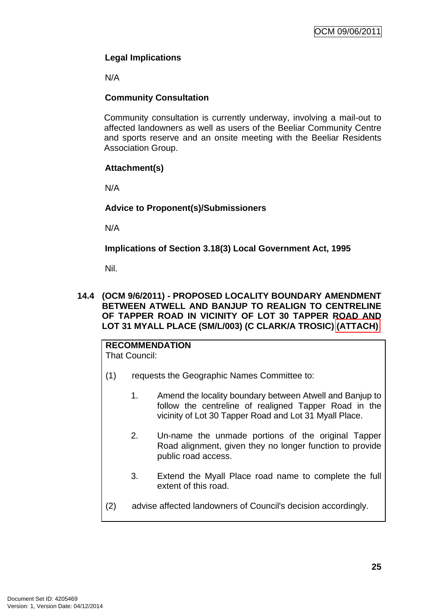# <span id="page-28-0"></span>**Legal Implications**

N/A

# **Community Consultation**

Community consultation is currently underway, involving a mail-out to affected landowners as well as users of the Beeliar Community Centre and sports reserve and an onsite meeting with the Beeliar Residents Association Group.

# **Attachment(s)**

N/A

# **Advice to Proponent(s)/Submissioners**

N/A

**Implications of Section 3.18(3) Local Government Act, 1995**

Nil.

### **14.4 (OCM 9/6/2011) - PROPOSED LOCALITY BOUNDARY AMENDMENT BETWEEN ATWELL AND BANJUP TO REALIGN TO CENTRELINE OF TAPPER ROAD IN VICINITY OF LOT 30 TAPPER ROAD AND LOT 31 MYALL PLACE (SM/L/003) (C CLARK/A TROSIC) (ATTACH)**

**RECOMMENDATION** That Council:

- (1) requests the Geographic Names Committee to:
	- 1. Amend the locality boundary between Atwell and Banjup to follow the centreline of realigned Tapper Road in the vicinity of Lot 30 Tapper Road and Lot 31 Myall Place.
	- 2. Un-name the unmade portions of the original Tapper Road alignment, given they no longer function to provide public road access.
	- 3. Extend the Myall Place road name to complete the full extent of this road.
- (2) advise affected landowners of Council's decision accordingly.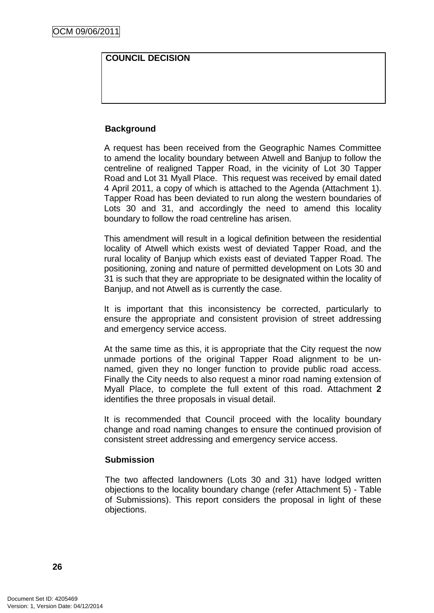# **COUNCIL DECISION**

### **Background**

A request has been received from the Geographic Names Committee to amend the locality boundary between Atwell and Banjup to follow the centreline of realigned Tapper Road, in the vicinity of Lot 30 Tapper Road and Lot 31 Myall Place. This request was received by email dated 4 April 2011, a copy of which is attached to the Agenda (Attachment 1). Tapper Road has been deviated to run along the western boundaries of Lots 30 and 31, and accordingly the need to amend this locality boundary to follow the road centreline has arisen.

This amendment will result in a logical definition between the residential locality of Atwell which exists west of deviated Tapper Road, and the rural locality of Banjup which exists east of deviated Tapper Road. The positioning, zoning and nature of permitted development on Lots 30 and 31 is such that they are appropriate to be designated within the locality of Banjup, and not Atwell as is currently the case.

It is important that this inconsistency be corrected, particularly to ensure the appropriate and consistent provision of street addressing and emergency service access.

At the same time as this, it is appropriate that the City request the now unmade portions of the original Tapper Road alignment to be unnamed, given they no longer function to provide public road access. Finally the City needs to also request a minor road naming extension of Myall Place, to complete the full extent of this road. Attachment **2** identifies the three proposals in visual detail.

It is recommended that Council proceed with the locality boundary change and road naming changes to ensure the continued provision of consistent street addressing and emergency service access.

### **Submission**

The two affected landowners (Lots 30 and 31) have lodged written objections to the locality boundary change (refer Attachment 5) - Table of Submissions). This report considers the proposal in light of these objections.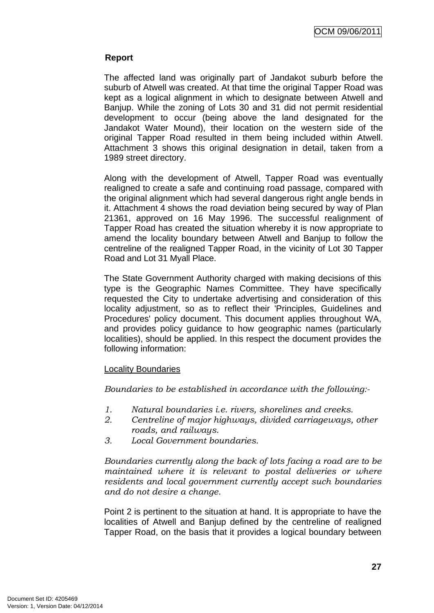### **Report**

The affected land was originally part of Jandakot suburb before the suburb of Atwell was created. At that time the original Tapper Road was kept as a logical alignment in which to designate between Atwell and Banjup. While the zoning of Lots 30 and 31 did not permit residential development to occur (being above the land designated for the Jandakot Water Mound), their location on the western side of the original Tapper Road resulted in them being included within Atwell. Attachment 3 shows this original designation in detail, taken from a 1989 street directory.

Along with the development of Atwell, Tapper Road was eventually realigned to create a safe and continuing road passage, compared with the original alignment which had several dangerous right angle bends in it. Attachment 4 shows the road deviation being secured by way of Plan 21361, approved on 16 May 1996. The successful realignment of Tapper Road has created the situation whereby it is now appropriate to amend the locality boundary between Atwell and Banjup to follow the centreline of the realigned Tapper Road, in the vicinity of Lot 30 Tapper Road and Lot 31 Myall Place.

The State Government Authority charged with making decisions of this type is the Geographic Names Committee. They have specifically requested the City to undertake advertising and consideration of this locality adjustment, so as to reflect their 'Principles, Guidelines and Procedures' policy document. This document applies throughout WA, and provides policy guidance to how geographic names (particularly localities), should be applied. In this respect the document provides the following information:

### Locality Boundaries

*Boundaries to be established in accordance with the following:-* 

- *1. Natural boundaries i.e. rivers, shorelines and creeks.*
- *2. Centreline of major highways, divided carriageways, other roads, and railways.*
- *3. Local Government boundaries.*

*Boundaries currently along the back of lots facing a road are to be maintained where it is relevant to postal deliveries or where residents and local government currently accept such boundaries and do not desire a change.* 

Point 2 is pertinent to the situation at hand. It is appropriate to have the localities of Atwell and Banjup defined by the centreline of realigned Tapper Road, on the basis that it provides a logical boundary between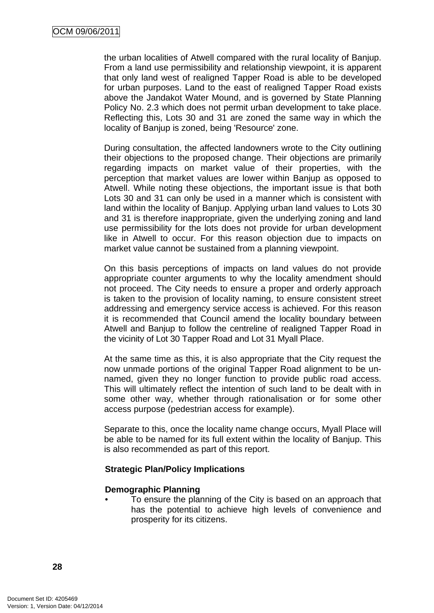the urban localities of Atwell compared with the rural locality of Banjup. From a land use permissibility and relationship viewpoint, it is apparent that only land west of realigned Tapper Road is able to be developed for urban purposes. Land to the east of realigned Tapper Road exists above the Jandakot Water Mound, and is governed by State Planning Policy No. 2.3 which does not permit urban development to take place. Reflecting this, Lots 30 and 31 are zoned the same way in which the locality of Banjup is zoned, being 'Resource' zone.

During consultation, the affected landowners wrote to the City outlining their objections to the proposed change. Their objections are primarily regarding impacts on market value of their properties, with the perception that market values are lower within Banjup as opposed to Atwell. While noting these objections, the important issue is that both Lots 30 and 31 can only be used in a manner which is consistent with land within the locality of Banjup. Applying urban land values to Lots 30 and 31 is therefore inappropriate, given the underlying zoning and land use permissibility for the lots does not provide for urban development like in Atwell to occur. For this reason objection due to impacts on market value cannot be sustained from a planning viewpoint.

On this basis perceptions of impacts on land values do not provide appropriate counter arguments to why the locality amendment should not proceed. The City needs to ensure a proper and orderly approach is taken to the provision of locality naming, to ensure consistent street addressing and emergency service access is achieved. For this reason it is recommended that Council amend the locality boundary between Atwell and Banjup to follow the centreline of realigned Tapper Road in the vicinity of Lot 30 Tapper Road and Lot 31 Myall Place.

At the same time as this, it is also appropriate that the City request the now unmade portions of the original Tapper Road alignment to be unnamed, given they no longer function to provide public road access. This will ultimately reflect the intention of such land to be dealt with in some other way, whether through rationalisation or for some other access purpose (pedestrian access for example).

Separate to this, once the locality name change occurs, Myall Place will be able to be named for its full extent within the locality of Banjup. This is also recommended as part of this report.

### **Strategic Plan/Policy Implications**

### **Demographic Planning**

• To ensure the planning of the City is based on an approach that has the potential to achieve high levels of convenience and prosperity for its citizens.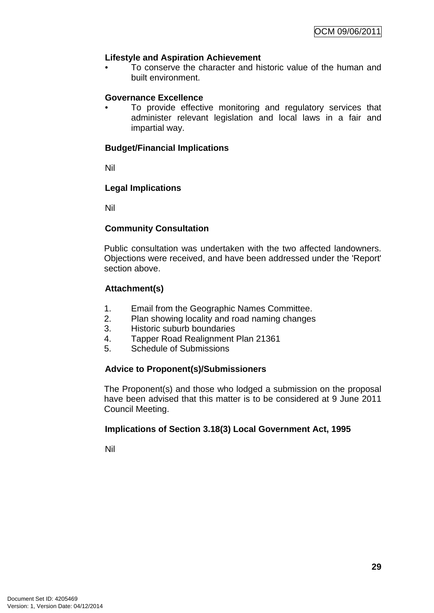### **Lifestyle and Aspiration Achievement**

• To conserve the character and historic value of the human and built environment.

### **Governance Excellence**

To provide effective monitoring and regulatory services that administer relevant legislation and local laws in a fair and impartial way.

### **Budget/Financial Implications**

Nil

### **Legal Implications**

Nil

### **Community Consultation**

Public consultation was undertaken with the two affected landowners. Objections were received, and have been addressed under the 'Report' section above.

### **Attachment(s)**

- 1. Email from the Geographic Names Committee.
- 2. Plan showing locality and road naming changes
- 3. Historic suburb boundaries
- 4. Tapper Road Realignment Plan 21361
- 5. Schedule of Submissions

# **Advice to Proponent(s)/Submissioners**

The Proponent(s) and those who lodged a submission on the proposal have been advised that this matter is to be considered at 9 June 2011 Council Meeting.

### **Implications of Section 3.18(3) Local Government Act, 1995**

Nil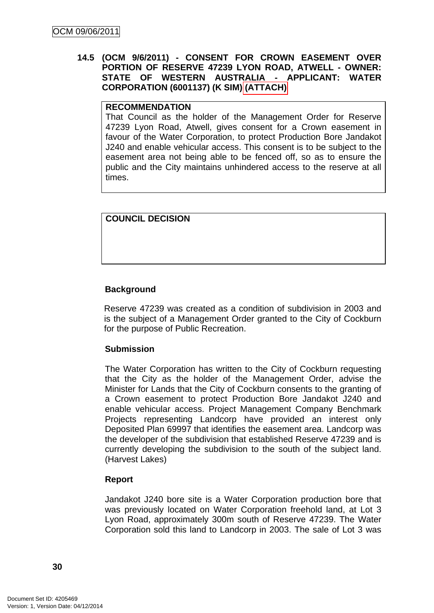### <span id="page-33-0"></span>**14.5 (OCM 9/6/2011) - CONSENT FOR CROWN EASEMENT OVER PORTION OF RESERVE 47239 LYON ROAD, ATWELL - OWNER: STATE OF WESTERN AUSTRALIA - APPLICANT: WATER CORPORATION (6001137) (K SIM) (ATTACH)**

### **RECOMMENDATION**

That Council as the holder of the Management Order for Reserve 47239 Lyon Road, Atwell, gives consent for a Crown easement in favour of the Water Corporation, to protect Production Bore Jandakot J240 and enable vehicular access. This consent is to be subject to the easement area not being able to be fenced off, so as to ensure the public and the City maintains unhindered access to the reserve at all times.

### **COUNCIL DECISION**

### **Background**

Reserve 47239 was created as a condition of subdivision in 2003 and is the subject of a Management Order granted to the City of Cockburn for the purpose of Public Recreation.

### **Submission**

The Water Corporation has written to the City of Cockburn requesting that the City as the holder of the Management Order, advise the Minister for Lands that the City of Cockburn consents to the granting of a Crown easement to protect Production Bore Jandakot J240 and enable vehicular access. Project Management Company Benchmark Projects representing Landcorp have provided an interest only Deposited Plan 69997 that identifies the easement area. Landcorp was the developer of the subdivision that established Reserve 47239 and is currently developing the subdivision to the south of the subject land. (Harvest Lakes)

### **Report**

Jandakot J240 bore site is a Water Corporation production bore that was previously located on Water Corporation freehold land, at Lot 3 Lyon Road, approximately 300m south of Reserve 47239. The Water Corporation sold this land to Landcorp in 2003. The sale of Lot 3 was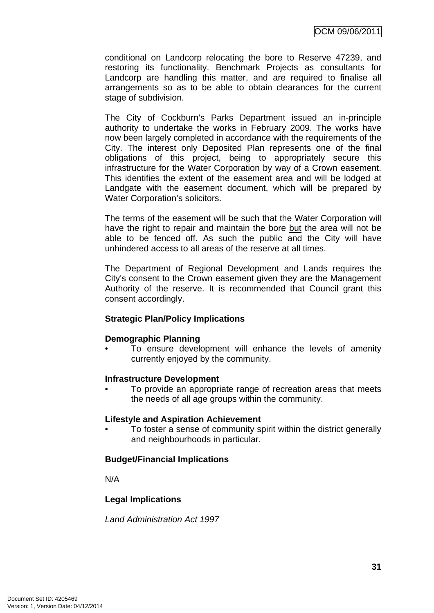conditional on Landcorp relocating the bore to Reserve 47239, and restoring its functionality. Benchmark Projects as consultants for Landcorp are handling this matter, and are required to finalise all arrangements so as to be able to obtain clearances for the current stage of subdivision.

The City of Cockburn's Parks Department issued an in-principle authority to undertake the works in February 2009. The works have now been largely completed in accordance with the requirements of the City. The interest only Deposited Plan represents one of the final obligations of this project, being to appropriately secure this infrastructure for the Water Corporation by way of a Crown easement. This identifies the extent of the easement area and will be lodged at Landgate with the easement document, which will be prepared by Water Corporation's solicitors.

The terms of the easement will be such that the Water Corporation will have the right to repair and maintain the bore but the area will not be able to be fenced off. As such the public and the City will have unhindered access to all areas of the reserve at all times.

The Department of Regional Development and Lands requires the City's consent to the Crown easement given they are the Management Authority of the reserve. It is recommended that Council grant this consent accordingly.

### **Strategic Plan/Policy Implications**

### **Demographic Planning**

To ensure development will enhance the levels of amenity currently enjoyed by the community.

### **Infrastructure Development**

• To provide an appropriate range of recreation areas that meets the needs of all age groups within the community.

### **Lifestyle and Aspiration Achievement**

• To foster a sense of community spirit within the district generally and neighbourhoods in particular.

# **Budget/Financial Implications**

N/A

# **Legal Implications**

*Land Administration Act 1997*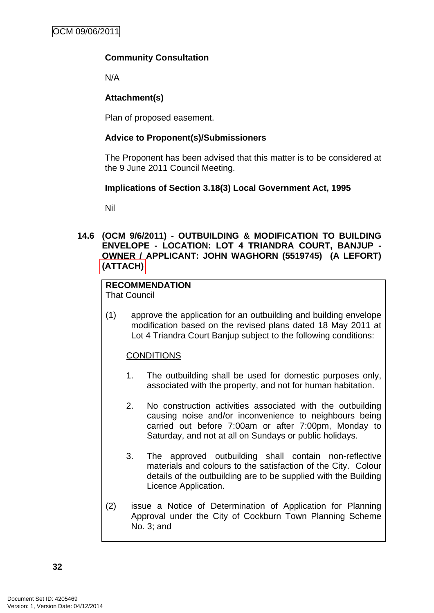# <span id="page-35-0"></span>**Community Consultation**

N/A

# **Attachment(s)**

Plan of proposed easement.

# **Advice to Proponent(s)/Submissioners**

The Proponent has been advised that this matter is to be considered at the 9 June 2011 Council Meeting.

### **Implications of Section 3.18(3) Local Government Act, 1995**

Nil

### **14.6 (OCM 9/6/2011) - OUTBUILDING & MODIFICATION TO BUILDING ENVELOPE - LOCATION: LOT 4 TRIANDRA COURT, BANJUP - OWNER / APPLICANT: JOHN WAGHORN (5519745) (A LEFORT) (ATTACH)**

# **RECOMMENDATION**

That Council

(1) approve the application for an outbuilding and building envelope modification based on the revised plans dated 18 May 2011 at Lot 4 Triandra Court Banjup subject to the following conditions:

# **CONDITIONS**

- 1. The outbuilding shall be used for domestic purposes only, associated with the property, and not for human habitation.
- 2. No construction activities associated with the outbuilding causing noise and/or inconvenience to neighbours being carried out before 7:00am or after 7:00pm, Monday to Saturday, and not at all on Sundays or public holidays.
- 3. The approved outbuilding shall contain non-reflective materials and colours to the satisfaction of the City. Colour details of the outbuilding are to be supplied with the Building Licence Application.
- (2) issue a Notice of Determination of Application for Planning Approval under the City of Cockburn Town Planning Scheme No. 3; and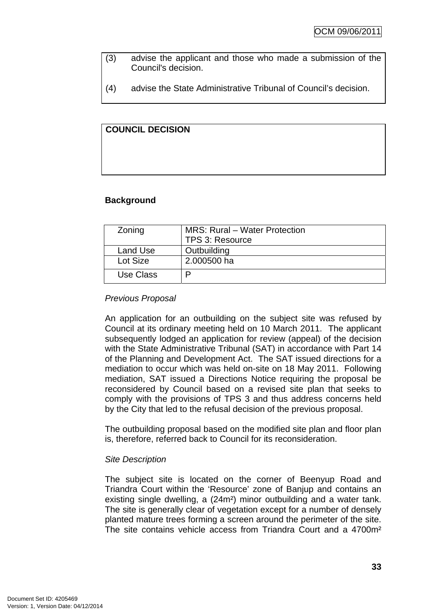- (3) advise the applicant and those who made a submission of the Council's decision.
- (4) advise the State Administrative Tribunal of Council's decision.

# **COUNCIL DECISION**

# **Background**

| Zoning    | <b>MRS: Rural – Water Protection</b><br>TPS 3: Resource |
|-----------|---------------------------------------------------------|
| Land Use  | Outbuilding                                             |
| Lot Size  | 2.000500 ha                                             |
| Use Class | D                                                       |

# *Previous Proposal*

An application for an outbuilding on the subject site was refused by Council at its ordinary meeting held on 10 March 2011. The applicant subsequently lodged an application for review (appeal) of the decision with the State Administrative Tribunal (SAT) in accordance with Part 14 of the Planning and Development Act. The SAT issued directions for a mediation to occur which was held on-site on 18 May 2011. Following mediation, SAT issued a Directions Notice requiring the proposal be reconsidered by Council based on a revised site plan that seeks to comply with the provisions of TPS 3 and thus address concerns held by the City that led to the refusal decision of the previous proposal.

The outbuilding proposal based on the modified site plan and floor plan is, therefore, referred back to Council for its reconsideration.

# *Site Description*

The subject site is located on the corner of Beenyup Road and Triandra Court within the 'Resource' zone of Banjup and contains an existing single dwelling, a (24m²) minor outbuilding and a water tank. The site is generally clear of vegetation except for a number of densely planted mature trees forming a screen around the perimeter of the site. The site contains vehicle access from Triandra Court and a 4700m²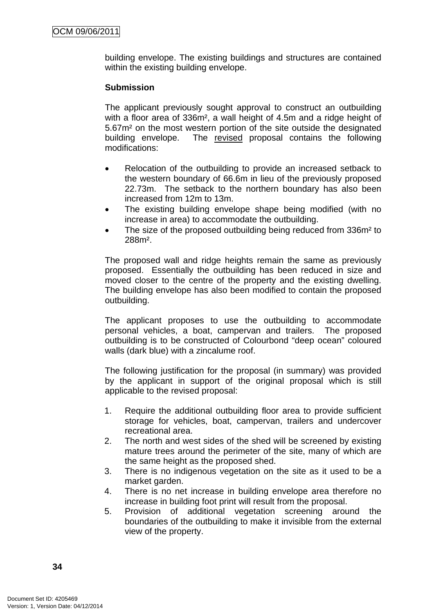building envelope. The existing buildings and structures are contained within the existing building envelope.

### **Submission**

The applicant previously sought approval to construct an outbuilding with a floor area of 336m<sup>2</sup>, a wall height of 4.5m and a ridge height of 5.67m² on the most western portion of the site outside the designated building envelope. The revised proposal contains the following modifications:

- Relocation of the outbuilding to provide an increased setback to the western boundary of 66.6m in lieu of the previously proposed 22.73m. The setback to the northern boundary has also been increased from 12m to 13m.
- The existing building envelope shape being modified (with no increase in area) to accommodate the outbuilding.
- The size of the proposed outbuilding being reduced from 336m<sup>2</sup> to 288m².

The proposed wall and ridge heights remain the same as previously proposed. Essentially the outbuilding has been reduced in size and moved closer to the centre of the property and the existing dwelling. The building envelope has also been modified to contain the proposed outbuilding.

The applicant proposes to use the outbuilding to accommodate personal vehicles, a boat, campervan and trailers. The proposed outbuilding is to be constructed of Colourbond "deep ocean" coloured walls (dark blue) with a zincalume roof.

The following justification for the proposal (in summary) was provided by the applicant in support of the original proposal which is still applicable to the revised proposal:

- 1. Require the additional outbuilding floor area to provide sufficient storage for vehicles, boat, campervan, trailers and undercover recreational area.
- 2. The north and west sides of the shed will be screened by existing mature trees around the perimeter of the site, many of which are the same height as the proposed shed.
- 3. There is no indigenous vegetation on the site as it used to be a market garden.
- 4. There is no net increase in building envelope area therefore no increase in building foot print will result from the proposal.
- 5. Provision of additional vegetation screening around the boundaries of the outbuilding to make it invisible from the external view of the property.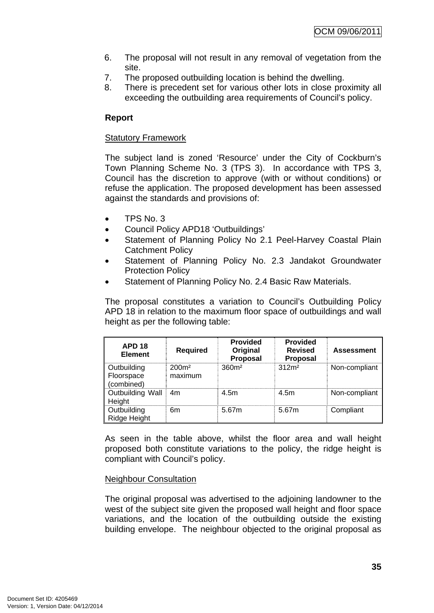- 6. The proposal will not result in any removal of vegetation from the site.
- 7. The proposed outbuilding location is behind the dwelling.
- 8. There is precedent set for various other lots in close proximity all exceeding the outbuilding area requirements of Council's policy.

# **Report**

### Statutory Framework

The subject land is zoned 'Resource' under the City of Cockburn's Town Planning Scheme No. 3 (TPS 3). In accordance with TPS 3, Council has the discretion to approve (with or without conditions) or refuse the application. The proposed development has been assessed against the standards and provisions of:

- TPS No. 3
- Council Policy APD18 'Outbuildings'
- Statement of Planning Policy No 2.1 Peel-Harvey Coastal Plain Catchment Policy
- Statement of Planning Policy No. 2.3 Jandakot Groundwater Protection Policy
- Statement of Planning Policy No. 2.4 Basic Raw Materials.

The proposal constitutes a variation to Council's Outbuilding Policy APD 18 in relation to the maximum floor space of outbuildings and wall height as per the following table:

| <b>APD 18</b><br><b>Element</b>                | <b>Required</b>              | <b>Provided</b><br>Original<br><b>Proposal</b> | <b>Provided</b><br><b>Revised</b><br><b>Proposal</b> | <b>Assessment</b> |
|------------------------------------------------|------------------------------|------------------------------------------------|------------------------------------------------------|-------------------|
| <b>Outbuilding</b><br>Floorspace<br>(combined) | 200 <sup>m²</sup><br>maximum | 360 <sup>m²</sup>                              | 312 <sup>m²</sup>                                    | Non-compliant     |
| Outbuilding Wall<br>Height                     | 4 <sub>m</sub>               | 4.5m                                           | 4.5m                                                 | Non-compliant     |
| Outbuilding<br>Ridge Height                    | 6m                           | 5.67m                                          | 5.67m                                                | Compliant         |

As seen in the table above, whilst the floor area and wall height proposed both constitute variations to the policy, the ridge height is compliant with Council's policy.

# Neighbour Consultation

The original proposal was advertised to the adjoining landowner to the west of the subject site given the proposed wall height and floor space variations, and the location of the outbuilding outside the existing building envelope. The neighbour objected to the original proposal as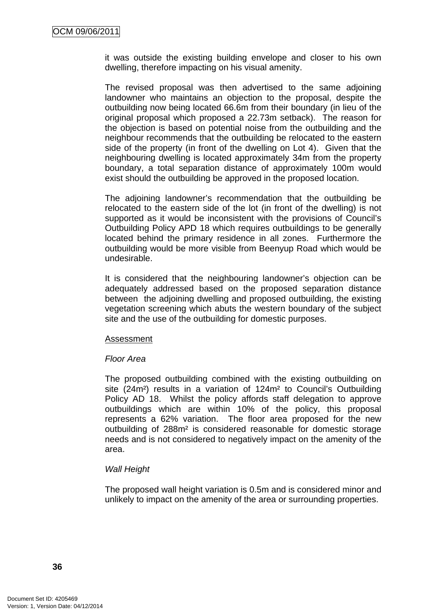it was outside the existing building envelope and closer to his own dwelling, therefore impacting on his visual amenity.

The revised proposal was then advertised to the same adjoining landowner who maintains an objection to the proposal, despite the outbuilding now being located 66.6m from their boundary (in lieu of the original proposal which proposed a 22.73m setback). The reason for the objection is based on potential noise from the outbuilding and the neighbour recommends that the outbuilding be relocated to the eastern side of the property (in front of the dwelling on Lot 4). Given that the neighbouring dwelling is located approximately 34m from the property boundary, a total separation distance of approximately 100m would exist should the outbuilding be approved in the proposed location.

The adjoining landowner's recommendation that the outbuilding be relocated to the eastern side of the lot (in front of the dwelling) is not supported as it would be inconsistent with the provisions of Council's Outbuilding Policy APD 18 which requires outbuildings to be generally located behind the primary residence in all zones. Furthermore the outbuilding would be more visible from Beenyup Road which would be undesirable.

It is considered that the neighbouring landowner's objection can be adequately addressed based on the proposed separation distance between the adjoining dwelling and proposed outbuilding, the existing vegetation screening which abuts the western boundary of the subject site and the use of the outbuilding for domestic purposes.

#### Assessment

#### *Floor Area*

The proposed outbuilding combined with the existing outbuilding on site (24m<sup>2</sup>) results in a variation of 124m<sup>2</sup> to Council's Outbuilding Policy AD 18. Whilst the policy affords staff delegation to approve outbuildings which are within 10% of the policy, this proposal represents a 62% variation. The floor area proposed for the new outbuilding of 288m² is considered reasonable for domestic storage needs and is not considered to negatively impact on the amenity of the area.

# *Wall Height*

The proposed wall height variation is 0.5m and is considered minor and unlikely to impact on the amenity of the area or surrounding properties.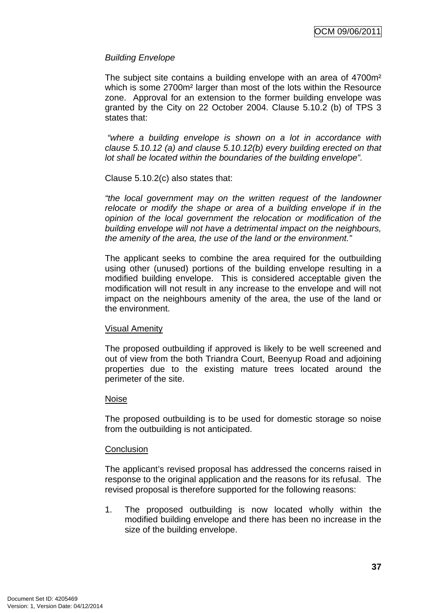# *Building Envelope*

The subject site contains a building envelope with an area of 4700m<sup>2</sup> which is some 2700m² larger than most of the lots within the Resource zone. Approval for an extension to the former building envelope was granted by the City on 22 October 2004. Clause 5.10.2 (b) of TPS 3 states that:

*"where a building envelope is shown on a lot in accordance with clause 5.10.12 (a) and clause 5.10.12(b) every building erected on that lot shall be located within the boundaries of the building envelope".* 

Clause 5.10.2(c) also states that:

*"the local government may on the written request of the landowner relocate or modify the shape or area of a building envelope if in the opinion of the local government the relocation or modification of the building envelope will not have a detrimental impact on the neighbours, the amenity of the area, the use of the land or the environment."* 

The applicant seeks to combine the area required for the outbuilding using other (unused) portions of the building envelope resulting in a modified building envelope. This is considered acceptable given the modification will not result in any increase to the envelope and will not impact on the neighbours amenity of the area, the use of the land or the environment.

# Visual Amenity

The proposed outbuilding if approved is likely to be well screened and out of view from the both Triandra Court, Beenyup Road and adjoining properties due to the existing mature trees located around the perimeter of the site.

# Noise

The proposed outbuilding is to be used for domestic storage so noise from the outbuilding is not anticipated.

# **Conclusion**

The applicant's revised proposal has addressed the concerns raised in response to the original application and the reasons for its refusal. The revised proposal is therefore supported for the following reasons:

1. The proposed outbuilding is now located wholly within the modified building envelope and there has been no increase in the size of the building envelope.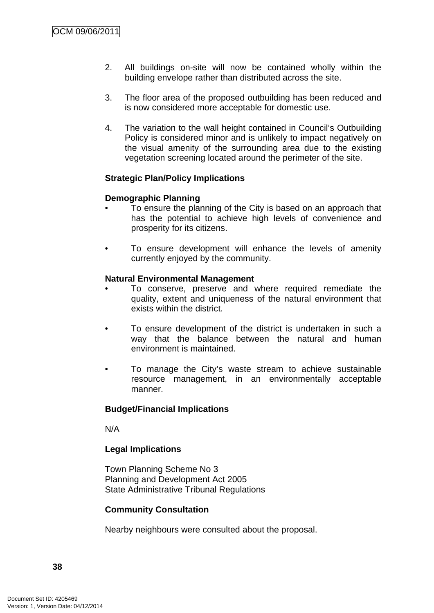- 2. All buildings on-site will now be contained wholly within the building envelope rather than distributed across the site.
- 3. The floor area of the proposed outbuilding has been reduced and is now considered more acceptable for domestic use.
- 4. The variation to the wall height contained in Council's Outbuilding Policy is considered minor and is unlikely to impact negatively on the visual amenity of the surrounding area due to the existing vegetation screening located around the perimeter of the site.

# **Strategic Plan/Policy Implications**

# **Demographic Planning**

- To ensure the planning of the City is based on an approach that has the potential to achieve high levels of convenience and prosperity for its citizens.
- To ensure development will enhance the levels of amenity currently enjoyed by the community.

# **Natural Environmental Management**

- To conserve, preserve and where required remediate the quality, extent and uniqueness of the natural environment that exists within the district.
- To ensure development of the district is undertaken in such a way that the balance between the natural and human environment is maintained.
- To manage the City's waste stream to achieve sustainable resource management, in an environmentally acceptable manner.

# **Budget/Financial Implications**

N/A

# **Legal Implications**

Town Planning Scheme No 3 Planning and Development Act 2005 State Administrative Tribunal Regulations

# **Community Consultation**

Nearby neighbours were consulted about the proposal.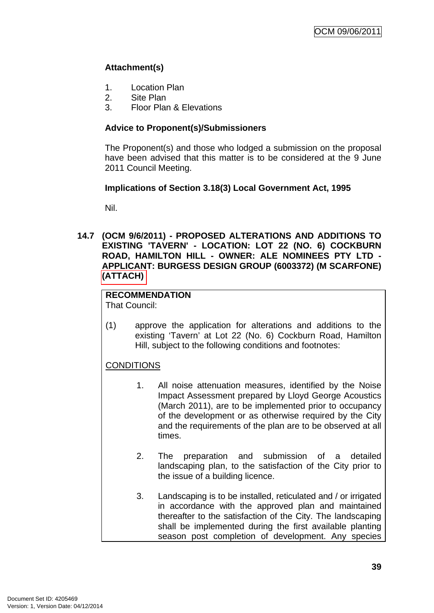# **Attachment(s)**

- 1. Location Plan
- 2. Site Plan
- 3. Floor Plan & Elevations

# **Advice to Proponent(s)/Submissioners**

The Proponent(s) and those who lodged a submission on the proposal have been advised that this matter is to be considered at the 9 June 2011 Council Meeting.

# **Implications of Section 3.18(3) Local Government Act, 1995**

Nil.

**14.7 (OCM 9/6/2011) - PROPOSED ALTERATIONS AND ADDITIONS TO EXISTING 'TAVERN' - LOCATION: LOT 22 (NO. 6) COCKBURN ROAD, HAMILTON HILL - OWNER: ALE NOMINEES PTY LTD - APPLICANT: BURGESS DESIGN GROUP (6003372) (M SCARFONE) (ATTACH)** 

# **RECOMMENDATION**

That Council:

(1) approve the application for alterations and additions to the existing 'Tavern' at Lot 22 (No. 6) Cockburn Road, Hamilton Hill, subject to the following conditions and footnotes:

# **CONDITIONS**

- 1. All noise attenuation measures, identified by the Noise Impact Assessment prepared by Lloyd George Acoustics (March 2011), are to be implemented prior to occupancy of the development or as otherwise required by the City and the requirements of the plan are to be observed at all times.
- 2. The preparation and submission of a detailed landscaping plan, to the satisfaction of the City prior to the issue of a building licence.
- 3. Landscaping is to be installed, reticulated and / or irrigated in accordance with the approved plan and maintained thereafter to the satisfaction of the City. The landscaping shall be implemented during the first available planting season post completion of development. Any species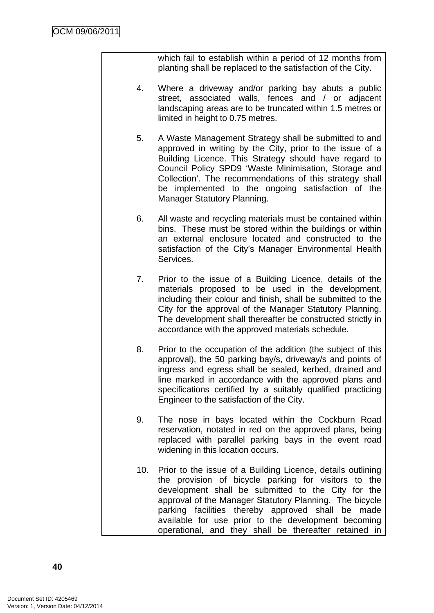which fail to establish within a period of 12 months from planting shall be replaced to the satisfaction of the City.

- 4. Where a driveway and/or parking bay abuts a public street, associated walls, fences and / or adjacent landscaping areas are to be truncated within 1.5 metres or limited in height to 0.75 metres.
- 5. A Waste Management Strategy shall be submitted to and approved in writing by the City, prior to the issue of a Building Licence. This Strategy should have regard to Council Policy SPD9 'Waste Minimisation, Storage and Collection'. The recommendations of this strategy shall be implemented to the ongoing satisfaction of the Manager Statutory Planning.
- 6. All waste and recycling materials must be contained within bins. These must be stored within the buildings or within an external enclosure located and constructed to the satisfaction of the City's Manager Environmental Health Services.
- 7. Prior to the issue of a Building Licence, details of the materials proposed to be used in the development, including their colour and finish, shall be submitted to the City for the approval of the Manager Statutory Planning. The development shall thereafter be constructed strictly in accordance with the approved materials schedule.
- 8. Prior to the occupation of the addition (the subject of this approval), the 50 parking bay/s, driveway/s and points of ingress and egress shall be sealed, kerbed, drained and line marked in accordance with the approved plans and specifications certified by a suitably qualified practicing Engineer to the satisfaction of the City.
- 9. The nose in bays located within the Cockburn Road reservation, notated in red on the approved plans, being replaced with parallel parking bays in the event road widening in this location occurs.
- 10. Prior to the issue of a Building Licence, details outlining the provision of bicycle parking for visitors to the development shall be submitted to the City for the approval of the Manager Statutory Planning. The bicycle parking facilities thereby approved shall be made available for use prior to the development becoming operational, and they shall be thereafter retained in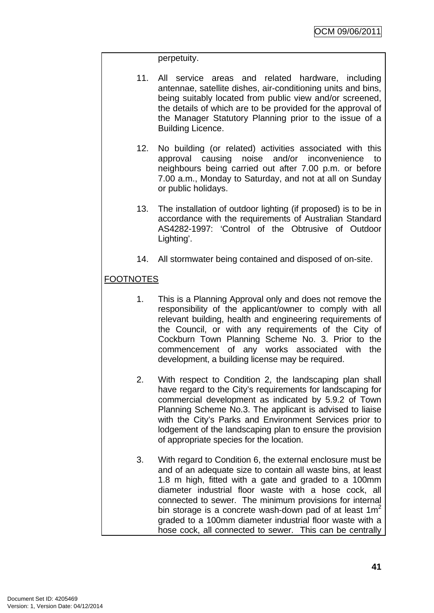### perpetuity.

- 11. All service areas and related hardware, including antennae, satellite dishes, air-conditioning units and bins, being suitably located from public view and/or screened, the details of which are to be provided for the approval of the Manager Statutory Planning prior to the issue of a Building Licence.
- 12. No building (or related) activities associated with this approval causing noise and/or inconvenience to neighbours being carried out after 7.00 p.m. or before 7.00 a.m., Monday to Saturday, and not at all on Sunday or public holidays.
- 13. The installation of outdoor lighting (if proposed) is to be in accordance with the requirements of Australian Standard AS4282-1997: 'Control of the Obtrusive of Outdoor Lighting'.
- 14. All stormwater being contained and disposed of on-site.

# FOOTNOTES

- 1. This is a Planning Approval only and does not remove the responsibility of the applicant/owner to comply with all relevant building, health and engineering requirements of the Council, or with any requirements of the City of Cockburn Town Planning Scheme No. 3. Prior to the commencement of any works associated with the development, a building license may be required.
- 2. With respect to Condition 2, the landscaping plan shall have regard to the City's requirements for landscaping for commercial development as indicated by 5.9.2 of Town Planning Scheme No.3. The applicant is advised to liaise with the City's Parks and Environment Services prior to lodgement of the landscaping plan to ensure the provision of appropriate species for the location.
- 3. With regard to Condition 6, the external enclosure must be and of an adequate size to contain all waste bins, at least 1.8 m high, fitted with a gate and graded to a 100mm diameter industrial floor waste with a hose cock, all connected to sewer. The minimum provisions for internal bin storage is a concrete wash-down pad of at least  $1m<sup>2</sup>$ graded to a 100mm diameter industrial floor waste with a hose cock, all connected to sewer. This can be centrally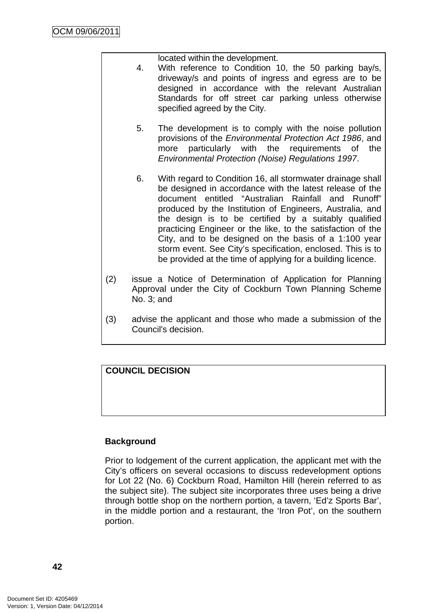located within the development.

- 4. With reference to Condition 10, the 50 parking bay/s, driveway/s and points of ingress and egress are to be designed in accordance with the relevant Australian Standards for off street car parking unless otherwise specified agreed by the City.
- 5. The development is to comply with the noise pollution provisions of the *Environmental Protection Act 1986*, and more particularly with the requirements of the *Environmental Protection (Noise) Regulations 1997*.
- 6. With regard to Condition 16, all stormwater drainage shall be designed in accordance with the latest release of the document entitled "Australian Rainfall and Runoff" produced by the Institution of Engineers, Australia, and the design is to be certified by a suitably qualified practicing Engineer or the like, to the satisfaction of the City, and to be designed on the basis of a 1:100 year storm event. See City's specification, enclosed. This is to be provided at the time of applying for a building licence.
- (2) issue a Notice of Determination of Application for Planning Approval under the City of Cockburn Town Planning Scheme No. 3; and
- (3) advise the applicant and those who made a submission of the Council's decision.

# **COUNCIL DECISION**

# **Background**

Prior to lodgement of the current application, the applicant met with the City's officers on several occasions to discuss redevelopment options for Lot 22 (No. 6) Cockburn Road, Hamilton Hill (herein referred to as the subject site). The subject site incorporates three uses being a drive through bottle shop on the northern portion, a tavern, 'Ed'z Sports Bar', in the middle portion and a restaurant, the 'Iron Pot', on the southern portion.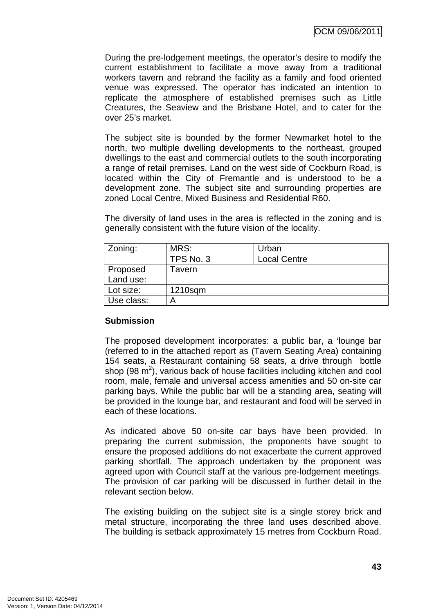During the pre-lodgement meetings, the operator's desire to modify the current establishment to facilitate a move away from a traditional workers tavern and rebrand the facility as a family and food oriented venue was expressed. The operator has indicated an intention to replicate the atmosphere of established premises such as Little Creatures, the Seaview and the Brisbane Hotel, and to cater for the over 25's market.

The subject site is bounded by the former Newmarket hotel to the north, two multiple dwelling developments to the northeast, grouped dwellings to the east and commercial outlets to the south incorporating a range of retail premises. Land on the west side of Cockburn Road, is located within the City of Fremantle and is understood to be a development zone. The subject site and surrounding properties are zoned Local Centre, Mixed Business and Residential R60.

The diversity of land uses in the area is reflected in the zoning and is generally consistent with the future vision of the locality.

| Zoning:    | MRS:      | Urban               |
|------------|-----------|---------------------|
|            | TPS No. 3 | <b>Local Centre</b> |
| Proposed   | Γavern    |                     |
| Land use:  |           |                     |
| Lot size:  | 1210sqm   |                     |
| Use class: | Α         |                     |

# **Submission**

The proposed development incorporates: a public bar, a 'lounge bar (referred to in the attached report as (Tavern Seating Area) containing 154 seats, a Restaurant containing 58 seats, a drive through bottle shop (98  $m^2$ ), various back of house facilities including kitchen and cool room, male, female and universal access amenities and 50 on-site car parking bays. While the public bar will be a standing area, seating will be provided in the lounge bar, and restaurant and food will be served in each of these locations.

As indicated above 50 on-site car bays have been provided. In preparing the current submission, the proponents have sought to ensure the proposed additions do not exacerbate the current approved parking shortfall. The approach undertaken by the proponent was agreed upon with Council staff at the various pre-lodgement meetings. The provision of car parking will be discussed in further detail in the relevant section below.

The existing building on the subject site is a single storey brick and metal structure, incorporating the three land uses described above. The building is setback approximately 15 metres from Cockburn Road.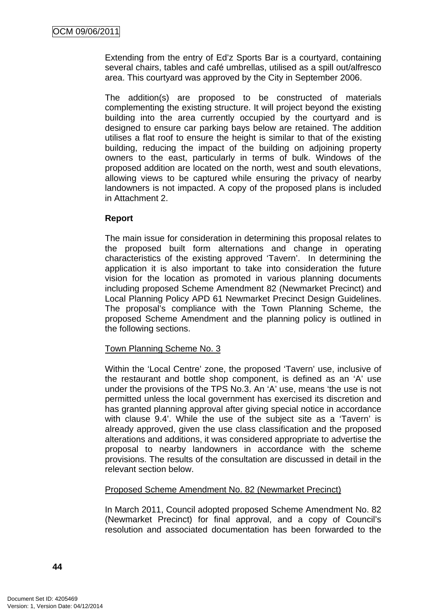Extending from the entry of Ed'z Sports Bar is a courtyard, containing several chairs, tables and café umbrellas, utilised as a spill out/alfresco area. This courtyard was approved by the City in September 2006.

The addition(s) are proposed to be constructed of materials complementing the existing structure. It will project beyond the existing building into the area currently occupied by the courtyard and is designed to ensure car parking bays below are retained. The addition utilises a flat roof to ensure the height is similar to that of the existing building, reducing the impact of the building on adjoining property owners to the east, particularly in terms of bulk. Windows of the proposed addition are located on the north, west and south elevations, allowing views to be captured while ensuring the privacy of nearby landowners is not impacted. A copy of the proposed plans is included in Attachment 2.

### **Report**

The main issue for consideration in determining this proposal relates to the proposed built form alternations and change in operating characteristics of the existing approved 'Tavern'. In determining the application it is also important to take into consideration the future vision for the location as promoted in various planning documents including proposed Scheme Amendment 82 (Newmarket Precinct) and Local Planning Policy APD 61 Newmarket Precinct Design Guidelines. The proposal's compliance with the Town Planning Scheme, the proposed Scheme Amendment and the planning policy is outlined in the following sections.

# Town Planning Scheme No. 3

Within the 'Local Centre' zone, the proposed 'Tavern' use, inclusive of the restaurant and bottle shop component, is defined as an 'A' use under the provisions of the TPS No.3. An 'A' use, means 'the use is not permitted unless the local government has exercised its discretion and has granted planning approval after giving special notice in accordance with clause 9.4'. While the use of the subject site as a 'Tavern' is already approved, given the use class classification and the proposed alterations and additions, it was considered appropriate to advertise the proposal to nearby landowners in accordance with the scheme provisions. The results of the consultation are discussed in detail in the relevant section below.

#### Proposed Scheme Amendment No. 82 (Newmarket Precinct)

In March 2011, Council adopted proposed Scheme Amendment No. 82 (Newmarket Precinct) for final approval, and a copy of Council's resolution and associated documentation has been forwarded to the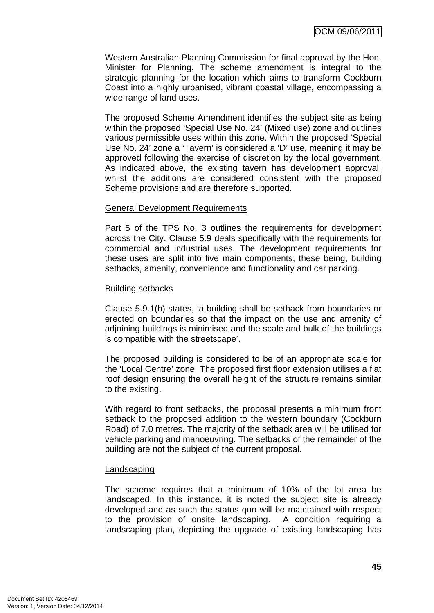Western Australian Planning Commission for final approval by the Hon. Minister for Planning. The scheme amendment is integral to the strategic planning for the location which aims to transform Cockburn Coast into a highly urbanised, vibrant coastal village, encompassing a wide range of land uses.

The proposed Scheme Amendment identifies the subject site as being within the proposed 'Special Use No. 24' (Mixed use) zone and outlines various permissible uses within this zone. Within the proposed 'Special Use No. 24' zone a 'Tavern' is considered a 'D' use, meaning it may be approved following the exercise of discretion by the local government. As indicated above, the existing tavern has development approval, whilst the additions are considered consistent with the proposed Scheme provisions and are therefore supported.

### General Development Requirements

Part 5 of the TPS No. 3 outlines the requirements for development across the City. Clause 5.9 deals specifically with the requirements for commercial and industrial uses. The development requirements for these uses are split into five main components, these being, building setbacks, amenity, convenience and functionality and car parking.

#### Building setbacks

Clause 5.9.1(b) states, 'a building shall be setback from boundaries or erected on boundaries so that the impact on the use and amenity of adjoining buildings is minimised and the scale and bulk of the buildings is compatible with the streetscape'.

The proposed building is considered to be of an appropriate scale for the 'Local Centre' zone. The proposed first floor extension utilises a flat roof design ensuring the overall height of the structure remains similar to the existing.

With regard to front setbacks, the proposal presents a minimum front setback to the proposed addition to the western boundary (Cockburn Road) of 7.0 metres. The majority of the setback area will be utilised for vehicle parking and manoeuvring. The setbacks of the remainder of the building are not the subject of the current proposal.

# Landscaping

The scheme requires that a minimum of 10% of the lot area be landscaped. In this instance, it is noted the subject site is already developed and as such the status quo will be maintained with respect to the provision of onsite landscaping. A condition requiring a landscaping plan, depicting the upgrade of existing landscaping has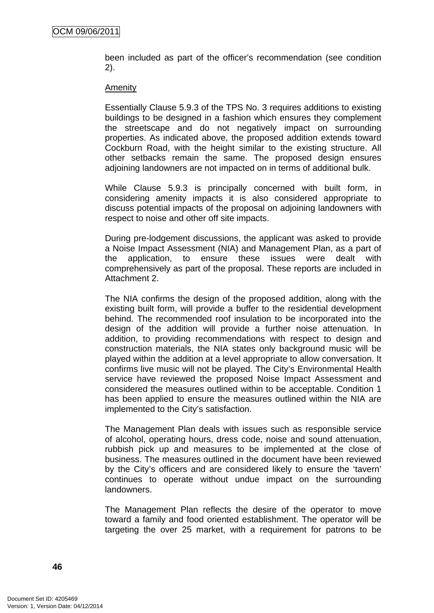been included as part of the officer's recommendation (see condition 2).

#### **Amenity**

Essentially Clause 5.9.3 of the TPS No. 3 requires additions to existing buildings to be designed in a fashion which ensures they complement the streetscape and do not negatively impact on surrounding properties. As indicated above, the proposed addition extends toward Cockburn Road, with the height similar to the existing structure. All other setbacks remain the same. The proposed design ensures adjoining landowners are not impacted on in terms of additional bulk.

While Clause 5.9.3 is principally concerned with built form, in considering amenity impacts it is also considered appropriate to discuss potential impacts of the proposal on adjoining landowners with respect to noise and other off site impacts.

During pre-lodgement discussions, the applicant was asked to provide a Noise Impact Assessment (NIA) and Management Plan, as a part of the application, to ensure these issues were dealt with comprehensively as part of the proposal. These reports are included in Attachment 2.

The NIA confirms the design of the proposed addition, along with the existing built form, will provide a buffer to the residential development behind. The recommended roof insulation to be incorporated into the design of the addition will provide a further noise attenuation. In addition, to providing recommendations with respect to design and construction materials, the NIA states only background music will be played within the addition at a level appropriate to allow conversation. It confirms live music will not be played. The City's Environmental Health service have reviewed the proposed Noise Impact Assessment and considered the measures outlined within to be acceptable. Condition 1 has been applied to ensure the measures outlined within the NIA are implemented to the City's satisfaction.

The Management Plan deals with issues such as responsible service of alcohol, operating hours, dress code, noise and sound attenuation, rubbish pick up and measures to be implemented at the close of business. The measures outlined in the document have been reviewed by the City's officers and are considered likely to ensure the 'tavern' continues to operate without undue impact on the surrounding landowners.

The Management Plan reflects the desire of the operator to move toward a family and food oriented establishment. The operator will be targeting the over 25 market, with a requirement for patrons to be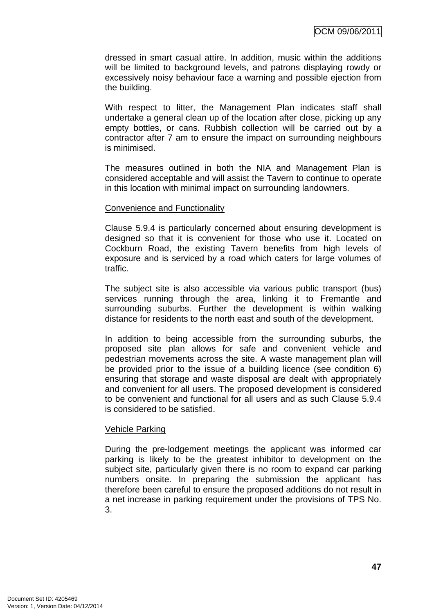dressed in smart casual attire. In addition, music within the additions will be limited to background levels, and patrons displaying rowdy or excessively noisy behaviour face a warning and possible ejection from the building.

With respect to litter, the Management Plan indicates staff shall undertake a general clean up of the location after close, picking up any empty bottles, or cans. Rubbish collection will be carried out by a contractor after 7 am to ensure the impact on surrounding neighbours is minimised.

The measures outlined in both the NIA and Management Plan is considered acceptable and will assist the Tavern to continue to operate in this location with minimal impact on surrounding landowners.

### Convenience and Functionality

Clause 5.9.4 is particularly concerned about ensuring development is designed so that it is convenient for those who use it. Located on Cockburn Road, the existing Tavern benefits from high levels of exposure and is serviced by a road which caters for large volumes of traffic.

The subject site is also accessible via various public transport (bus) services running through the area, linking it to Fremantle and surrounding suburbs. Further the development is within walking distance for residents to the north east and south of the development.

In addition to being accessible from the surrounding suburbs, the proposed site plan allows for safe and convenient vehicle and pedestrian movements across the site. A waste management plan will be provided prior to the issue of a building licence (see condition 6) ensuring that storage and waste disposal are dealt with appropriately and convenient for all users. The proposed development is considered to be convenient and functional for all users and as such Clause 5.9.4 is considered to be satisfied.

#### Vehicle Parking

During the pre-lodgement meetings the applicant was informed car parking is likely to be the greatest inhibitor to development on the subject site, particularly given there is no room to expand car parking numbers onsite. In preparing the submission the applicant has therefore been careful to ensure the proposed additions do not result in a net increase in parking requirement under the provisions of TPS No. 3.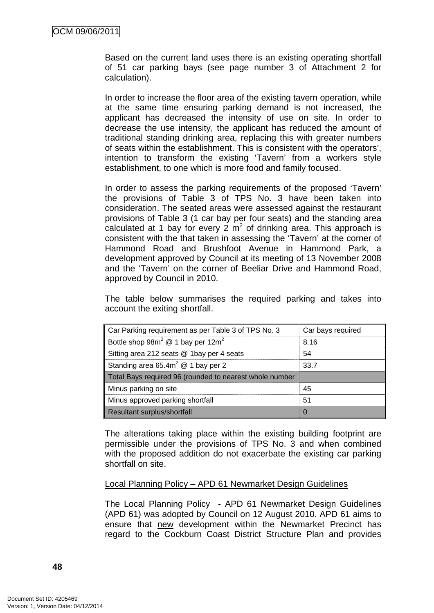Based on the current land uses there is an existing operating shortfall of 51 car parking bays (see page number 3 of Attachment 2 for calculation).

In order to increase the floor area of the existing tavern operation, while at the same time ensuring parking demand is not increased, the applicant has decreased the intensity of use on site. In order to decrease the use intensity, the applicant has reduced the amount of traditional standing drinking area, replacing this with greater numbers of seats within the establishment. This is consistent with the operators', intention to transform the existing 'Tavern' from a workers style establishment, to one which is more food and family focused.

In order to assess the parking requirements of the proposed 'Tavern' the provisions of Table 3 of TPS No. 3 have been taken into consideration. The seated areas were assessed against the restaurant provisions of Table 3 (1 car bay per four seats) and the standing area calculated at 1 bay for every 2  $m^2$  of drinking area. This approach is consistent with the that taken in assessing the 'Tavern' at the corner of Hammond Road and Brushfoot Avenue in Hammond Park, a development approved by Council at its meeting of 13 November 2008 and the 'Tavern' on the corner of Beeliar Drive and Hammond Road, approved by Council in 2010.

The table below summarises the required parking and takes into account the exiting shortfall.

| Car Parking requirement as per Table 3 of TPS No. 3       | Car bays required |
|-----------------------------------------------------------|-------------------|
| Bottle shop $98m^2 \text{ } @$ 1 bay per 12m <sup>2</sup> | 8.16              |
| Sitting area 212 seats @ 1bay per 4 seats                 | 54                |
| Standing area 65.4 $m^2 \otimes 1$ bay per 2              | 33.7              |
| Total Bays required 96 (rounded to nearest whole number   |                   |
| Minus parking on site                                     | 45                |
| Minus approved parking shortfall                          | 51                |
| Resultant surplus/shortfall                               |                   |

The alterations taking place within the existing building footprint are permissible under the provisions of TPS No. 3 and when combined with the proposed addition do not exacerbate the existing car parking shortfall on site.

#### Local Planning Policy – APD 61 Newmarket Design Guidelines

The Local Planning Policy - APD 61 Newmarket Design Guidelines (APD 61) was adopted by Council on 12 August 2010. APD 61 aims to ensure that new development within the Newmarket Precinct has regard to the Cockburn Coast District Structure Plan and provides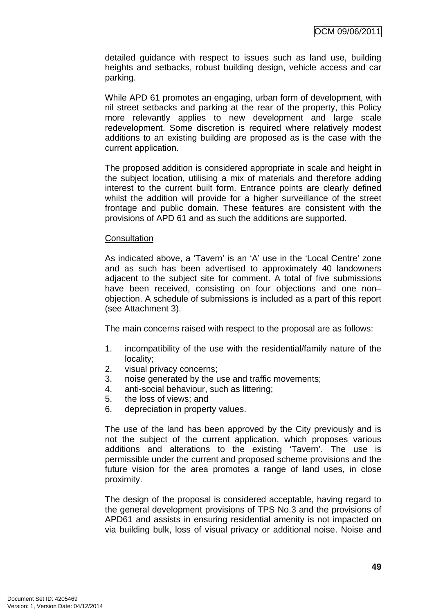detailed guidance with respect to issues such as land use, building heights and setbacks, robust building design, vehicle access and car parking.

While APD 61 promotes an engaging, urban form of development, with nil street setbacks and parking at the rear of the property, this Policy more relevantly applies to new development and large scale redevelopment. Some discretion is required where relatively modest additions to an existing building are proposed as is the case with the current application.

The proposed addition is considered appropriate in scale and height in the subject location, utilising a mix of materials and therefore adding interest to the current built form. Entrance points are clearly defined whilst the addition will provide for a higher surveillance of the street frontage and public domain. These features are consistent with the provisions of APD 61 and as such the additions are supported.

#### **Consultation**

As indicated above, a 'Tavern' is an 'A' use in the 'Local Centre' zone and as such has been advertised to approximately 40 landowners adjacent to the subject site for comment. A total of five submissions have been received, consisting on four objections and one nonobjection. A schedule of submissions is included as a part of this report (see Attachment 3).

The main concerns raised with respect to the proposal are as follows:

- 1. incompatibility of the use with the residential/family nature of the locality;
- 2. visual privacy concerns;
- 3. noise generated by the use and traffic movements;
- 4. anti-social behaviour, such as littering;
- 5. the loss of views; and
- 6. depreciation in property values.

The use of the land has been approved by the City previously and is not the subject of the current application, which proposes various additions and alterations to the existing 'Tavern'. The use is permissible under the current and proposed scheme provisions and the future vision for the area promotes a range of land uses, in close proximity.

The design of the proposal is considered acceptable, having regard to the general development provisions of TPS No.3 and the provisions of APD61 and assists in ensuring residential amenity is not impacted on via building bulk, loss of visual privacy or additional noise. Noise and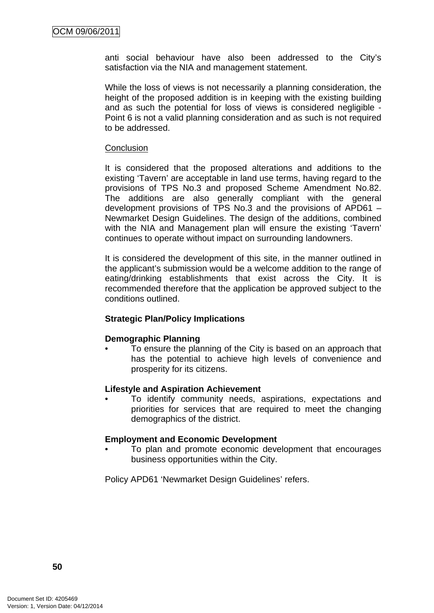anti social behaviour have also been addressed to the City's satisfaction via the NIA and management statement.

While the loss of views is not necessarily a planning consideration, the height of the proposed addition is in keeping with the existing building and as such the potential for loss of views is considered negligible - Point 6 is not a valid planning consideration and as such is not required to be addressed.

### **Conclusion**

It is considered that the proposed alterations and additions to the existing 'Tavern' are acceptable in land use terms, having regard to the provisions of TPS No.3 and proposed Scheme Amendment No.82. The additions are also generally compliant with the general development provisions of TPS No.3 and the provisions of APD61 – Newmarket Design Guidelines. The design of the additions, combined with the NIA and Management plan will ensure the existing 'Tavern' continues to operate without impact on surrounding landowners.

It is considered the development of this site, in the manner outlined in the applicant's submission would be a welcome addition to the range of eating/drinking establishments that exist across the City. It is recommended therefore that the application be approved subject to the conditions outlined.

# **Strategic Plan/Policy Implications**

# **Demographic Planning**

• To ensure the planning of the City is based on an approach that has the potential to achieve high levels of convenience and prosperity for its citizens.

#### **Lifestyle and Aspiration Achievement**

• To identify community needs, aspirations, expectations and priorities for services that are required to meet the changing demographics of the district.

#### **Employment and Economic Development**

• To plan and promote economic development that encourages business opportunities within the City.

Policy APD61 'Newmarket Design Guidelines' refers.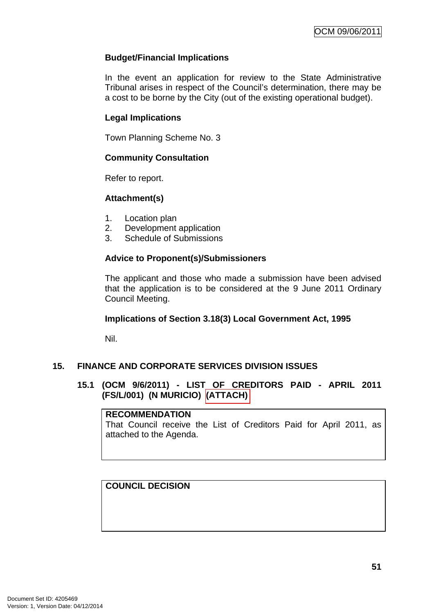# **Budget/Financial Implications**

In the event an application for review to the State Administrative Tribunal arises in respect of the Council's determination, there may be a cost to be borne by the City (out of the existing operational budget).

# **Legal Implications**

Town Planning Scheme No. 3

# **Community Consultation**

Refer to report.

# **Attachment(s)**

- 1. Location plan
- 2. Development application
- 3. Schedule of Submissions

# **Advice to Proponent(s)/Submissioners**

The applicant and those who made a submission have been advised that the application is to be considered at the 9 June 2011 Ordinary Council Meeting.

# **Implications of Section 3.18(3) Local Government Act, 1995**

Nil.

# **15. FINANCE AND CORPORATE SERVICES DIVISION ISSUES**

# **15.1 (OCM 9/6/2011) - LIST OF CREDITORS PAID - APRIL 2011 (FS/L/001) (N MURICIO) (ATTACH)**

# **RECOMMENDATION**

That Council receive the List of Creditors Paid for April 2011, as attached to the Agenda.

# **COUNCIL DECISION**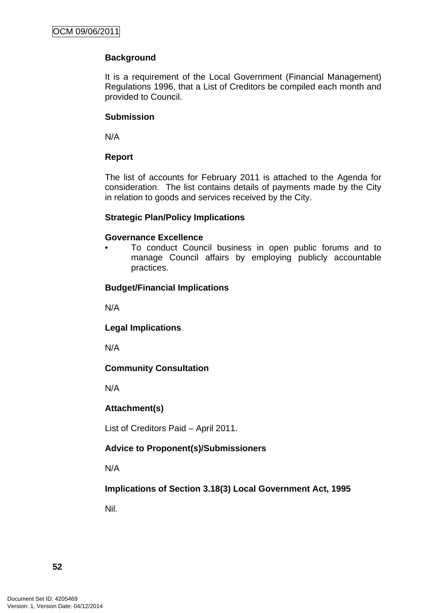# **Background**

It is a requirement of the Local Government (Financial Management) Regulations 1996, that a List of Creditors be compiled each month and provided to Council.

# **Submission**

N/A

# **Report**

The list of accounts for February 2011 is attached to the Agenda for consideration. The list contains details of payments made by the City in relation to goods and services received by the City.

# **Strategic Plan/Policy Implications**

### **Governance Excellence**

• To conduct Council business in open public forums and to manage Council affairs by employing publicly accountable practices.

# **Budget/Financial Implications**

N/A

**Legal Implications** 

N/A

# **Community Consultation**

N/A

# **Attachment(s)**

List of Creditors Paid – April 2011.

# **Advice to Proponent(s)/Submissioners**

N/A

**Implications of Section 3.18(3) Local Government Act, 1995**

Nil.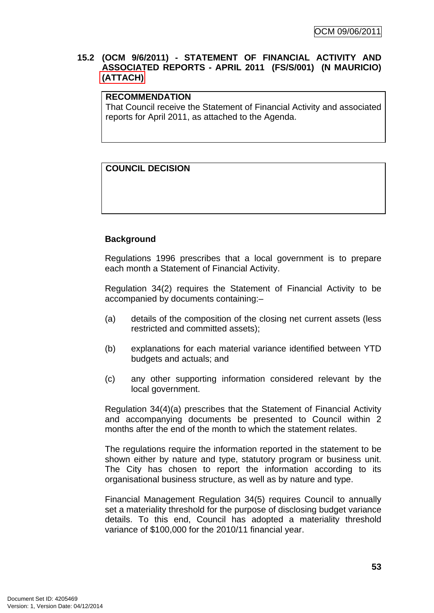# **15.2 (OCM 9/6/2011) - STATEMENT OF FINANCIAL ACTIVITY AND ASSOCIATED REPORTS - APRIL 2011 (FS/S/001) (N MAURICIO) (ATTACH)**

# **RECOMMENDATION**

That Council receive the Statement of Financial Activity and associated reports for April 2011, as attached to the Agenda.

# **COUNCIL DECISION**

# **Background**

Regulations 1996 prescribes that a local government is to prepare each month a Statement of Financial Activity.

Regulation 34(2) requires the Statement of Financial Activity to be accompanied by documents containing:–

- (a) details of the composition of the closing net current assets (less restricted and committed assets);
- (b) explanations for each material variance identified between YTD budgets and actuals; and
- (c) any other supporting information considered relevant by the local government.

Regulation 34(4)(a) prescribes that the Statement of Financial Activity and accompanying documents be presented to Council within 2 months after the end of the month to which the statement relates.

The regulations require the information reported in the statement to be shown either by nature and type, statutory program or business unit. The City has chosen to report the information according to its organisational business structure, as well as by nature and type.

Financial Management Regulation 34(5) requires Council to annually set a materiality threshold for the purpose of disclosing budget variance details. To this end, Council has adopted a materiality threshold variance of \$100,000 for the 2010/11 financial year.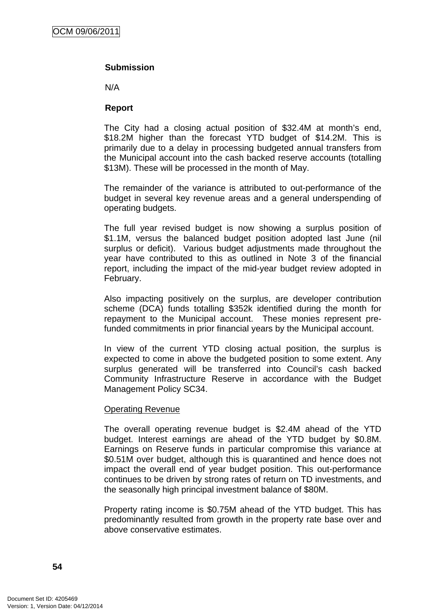# **Submission**

N/A

### **Report**

The City had a closing actual position of \$32.4M at month's end, \$18.2M higher than the forecast YTD budget of \$14.2M. This is primarily due to a delay in processing budgeted annual transfers from the Municipal account into the cash backed reserve accounts (totalling \$13M). These will be processed in the month of May.

The remainder of the variance is attributed to out-performance of the budget in several key revenue areas and a general underspending of operating budgets.

The full year revised budget is now showing a surplus position of \$1.1M, versus the balanced budget position adopted last June (nil surplus or deficit). Various budget adjustments made throughout the year have contributed to this as outlined in Note 3 of the financial report, including the impact of the mid-year budget review adopted in February.

Also impacting positively on the surplus, are developer contribution scheme (DCA) funds totalling \$352k identified during the month for repayment to the Municipal account. These monies represent prefunded commitments in prior financial years by the Municipal account.

In view of the current YTD closing actual position, the surplus is expected to come in above the budgeted position to some extent. Any surplus generated will be transferred into Council's cash backed Community Infrastructure Reserve in accordance with the Budget Management Policy SC34.

#### Operating Revenue

The overall operating revenue budget is \$2.4M ahead of the YTD budget. Interest earnings are ahead of the YTD budget by \$0.8M. Earnings on Reserve funds in particular compromise this variance at \$0.51M over budget, although this is quarantined and hence does not impact the overall end of year budget position. This out-performance continues to be driven by strong rates of return on TD investments, and the seasonally high principal investment balance of \$80M.

Property rating income is \$0.75M ahead of the YTD budget. This has predominantly resulted from growth in the property rate base over and above conservative estimates.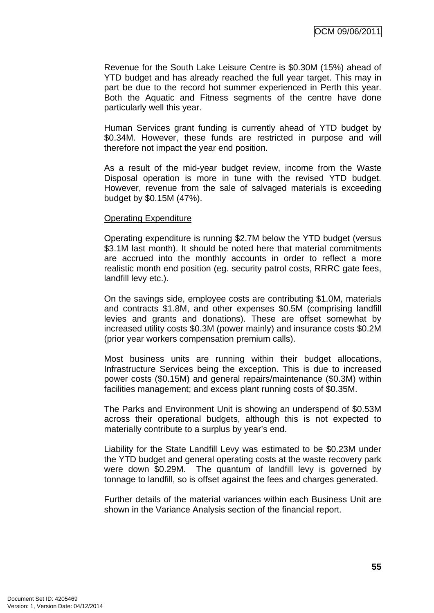Revenue for the South Lake Leisure Centre is \$0.30M (15%) ahead of YTD budget and has already reached the full year target. This may in part be due to the record hot summer experienced in Perth this year. Both the Aquatic and Fitness segments of the centre have done particularly well this year.

Human Services grant funding is currently ahead of YTD budget by \$0.34M. However, these funds are restricted in purpose and will therefore not impact the year end position.

As a result of the mid-year budget review, income from the Waste Disposal operation is more in tune with the revised YTD budget. However, revenue from the sale of salvaged materials is exceeding budget by \$0.15M (47%).

#### Operating Expenditure

Operating expenditure is running \$2.7M below the YTD budget (versus \$3.1M last month). It should be noted here that material commitments are accrued into the monthly accounts in order to reflect a more realistic month end position (eg. security patrol costs, RRRC gate fees, landfill levy etc.).

On the savings side, employee costs are contributing \$1.0M, materials and contracts \$1.8M, and other expenses \$0.5M (comprising landfill levies and grants and donations). These are offset somewhat by increased utility costs \$0.3M (power mainly) and insurance costs \$0.2M (prior year workers compensation premium calls).

Most business units are running within their budget allocations, Infrastructure Services being the exception. This is due to increased power costs (\$0.15M) and general repairs/maintenance (\$0.3M) within facilities management; and excess plant running costs of \$0.35M.

The Parks and Environment Unit is showing an underspend of \$0.53M across their operational budgets, although this is not expected to materially contribute to a surplus by year's end.

Liability for the State Landfill Levy was estimated to be \$0.23M under the YTD budget and general operating costs at the waste recovery park were down \$0.29M. The quantum of landfill levy is governed by tonnage to landfill, so is offset against the fees and charges generated.

Further details of the material variances within each Business Unit are shown in the Variance Analysis section of the financial report.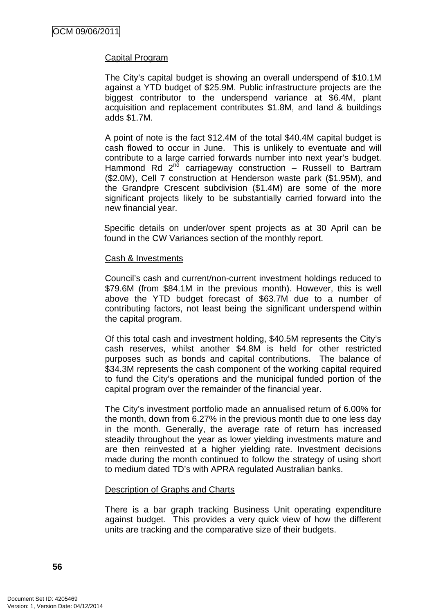# Capital Program

The City's capital budget is showing an overall underspend of \$10.1M against a YTD budget of \$25.9M. Public infrastructure projects are the biggest contributor to the underspend variance at \$6.4M, plant acquisition and replacement contributes \$1.8M, and land & buildings adds \$1.7M.

A point of note is the fact \$12.4M of the total \$40.4M capital budget is cash flowed to occur in June. This is unlikely to eventuate and will contribute to a large carried forwards number into next year's budget. Hammond Rd  $2^{n\bar{d}}$  carriageway construction – Russell to Bartram (\$2.0M), Cell 7 construction at Henderson waste park (\$1.95M), and the Grandpre Crescent subdivision (\$1.4M) are some of the more significant projects likely to be substantially carried forward into the new financial year.

Specific details on under/over spent projects as at 30 April can be found in the CW Variances section of the monthly report.

### Cash & Investments

Council's cash and current/non-current investment holdings reduced to \$79.6M (from \$84.1M in the previous month). However, this is well above the YTD budget forecast of \$63.7M due to a number of contributing factors, not least being the significant underspend within the capital program.

Of this total cash and investment holding, \$40.5M represents the City's cash reserves, whilst another \$4.8M is held for other restricted purposes such as bonds and capital contributions. The balance of \$34.3M represents the cash component of the working capital required to fund the City's operations and the municipal funded portion of the capital program over the remainder of the financial year.

The City's investment portfolio made an annualised return of 6.00% for the month, down from 6.27% in the previous month due to one less day in the month. Generally, the average rate of return has increased steadily throughout the year as lower yielding investments mature and are then reinvested at a higher yielding rate. Investment decisions made during the month continued to follow the strategy of using short to medium dated TD's with APRA regulated Australian banks.

#### Description of Graphs and Charts

There is a bar graph tracking Business Unit operating expenditure against budget. This provides a very quick view of how the different units are tracking and the comparative size of their budgets.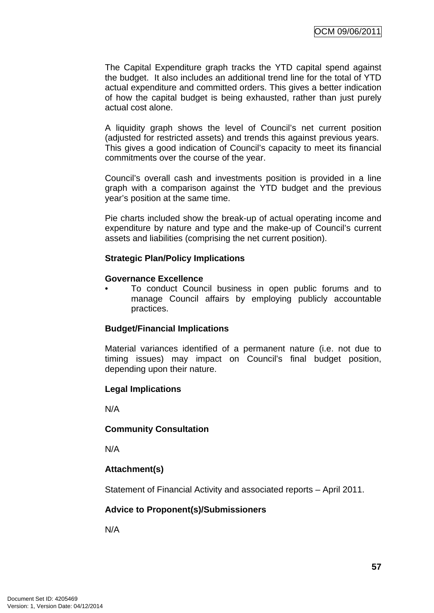The Capital Expenditure graph tracks the YTD capital spend against the budget. It also includes an additional trend line for the total of YTD actual expenditure and committed orders. This gives a better indication of how the capital budget is being exhausted, rather than just purely actual cost alone.

A liquidity graph shows the level of Council's net current position (adjusted for restricted assets) and trends this against previous years. This gives a good indication of Council's capacity to meet its financial commitments over the course of the year.

Council's overall cash and investments position is provided in a line graph with a comparison against the YTD budget and the previous year's position at the same time.

Pie charts included show the break-up of actual operating income and expenditure by nature and type and the make-up of Council's current assets and liabilities (comprising the net current position).

# **Strategic Plan/Policy Implications**

#### **Governance Excellence**

• To conduct Council business in open public forums and to manage Council affairs by employing publicly accountable practices.

#### **Budget/Financial Implications**

Material variances identified of a permanent nature (i.e. not due to timing issues) may impact on Council's final budget position, depending upon their nature.

#### **Legal Implications**

N/A

#### **Community Consultation**

N/A

# **Attachment(s)**

Statement of Financial Activity and associated reports – April 2011.

#### **Advice to Proponent(s)/Submissioners**

N/A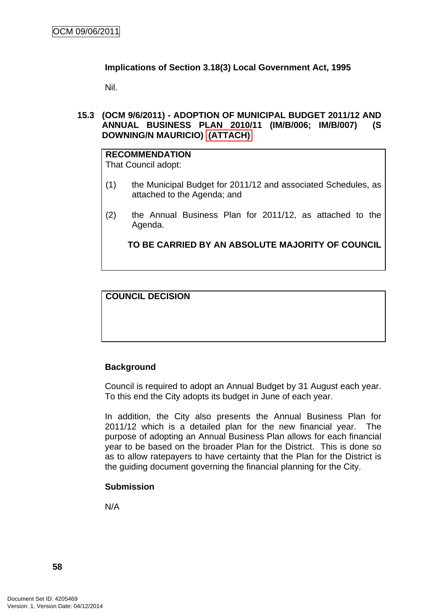# **Implications of Section 3.18(3) Local Government Act, 1995**

Nil.

### **15.3 (OCM 9/6/2011) - ADOPTION OF MUNICIPAL BUDGET 2011/12 AND ANNUAL BUSINESS PLAN 2010/11 (IM/B/006; IM/B/007) (S DOWNING/N MAURICIO) (ATTACH)**

# **RECOMMENDATION**

That Council adopt:

- (1) the Municipal Budget for 2011/12 and associated Schedules, as attached to the Agenda; and
- (2) the Annual Business Plan for 2011/12, as attached to the Agenda.

**TO BE CARRIED BY AN ABSOLUTE MAJORITY OF COUNCIL**

**COUNCIL DECISION** 

# **Background**

Council is required to adopt an Annual Budget by 31 August each year. To this end the City adopts its budget in June of each year.

In addition, the City also presents the Annual Business Plan for 2011/12 which is a detailed plan for the new financial year. The purpose of adopting an Annual Business Plan allows for each financial year to be based on the broader Plan for the District. This is done so as to allow ratepayers to have certainty that the Plan for the District is the guiding document governing the financial planning for the City.

# **Submission**

N/A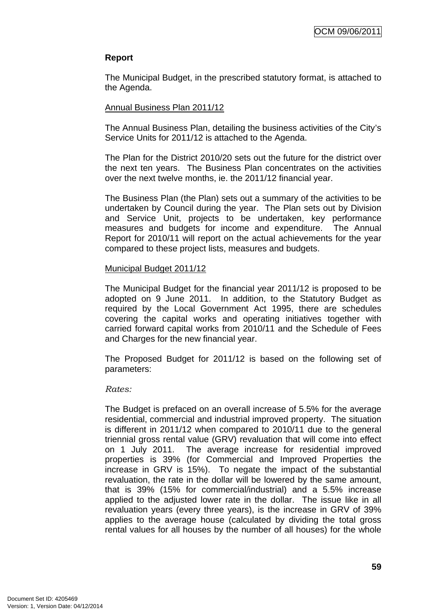# **Report**

The Municipal Budget, in the prescribed statutory format, is attached to the Agenda.

# Annual Business Plan 2011/12

The Annual Business Plan, detailing the business activities of the City's Service Units for 2011/12 is attached to the Agenda.

The Plan for the District 2010/20 sets out the future for the district over the next ten years. The Business Plan concentrates on the activities over the next twelve months, ie. the 2011/12 financial year.

The Business Plan (the Plan) sets out a summary of the activities to be undertaken by Council during the year. The Plan sets out by Division and Service Unit, projects to be undertaken, key performance measures and budgets for income and expenditure. The Annual Report for 2010/11 will report on the actual achievements for the year compared to these project lists, measures and budgets.

# Municipal Budget 2011/12

The Municipal Budget for the financial year 2011/12 is proposed to be adopted on 9 June 2011. In addition, to the Statutory Budget as required by the Local Government Act 1995, there are schedules covering the capital works and operating initiatives together with carried forward capital works from 2010/11 and the Schedule of Fees and Charges for the new financial year.

The Proposed Budget for 2011/12 is based on the following set of parameters:

#### *Rates:*

The Budget is prefaced on an overall increase of 5.5% for the average residential, commercial and industrial improved property. The situation is different in 2011/12 when compared to 2010/11 due to the general triennial gross rental value (GRV) revaluation that will come into effect on 1 July 2011. The average increase for residential improved properties is 39% (for Commercial and Improved Properties the increase in GRV is 15%). To negate the impact of the substantial revaluation, the rate in the dollar will be lowered by the same amount, that is 39% (15% for commercial/industrial) and a 5.5% increase applied to the adjusted lower rate in the dollar. The issue like in all revaluation years (every three years), is the increase in GRV of 39% applies to the average house (calculated by dividing the total gross rental values for all houses by the number of all houses) for the whole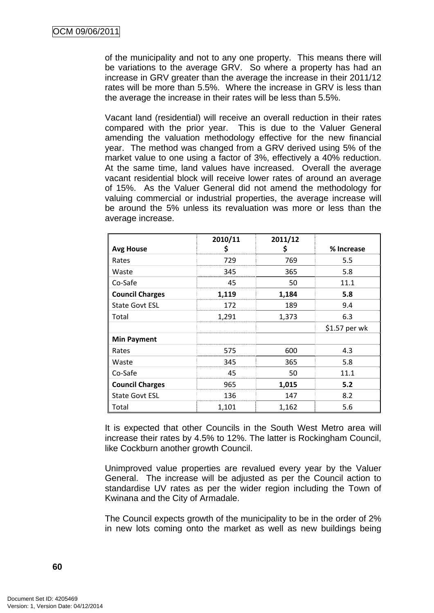of the municipality and not to any one property. This means there will be variations to the average GRV. So where a property has had an increase in GRV greater than the average the increase in their 2011/12 rates will be more than 5.5%. Where the increase in GRV is less than the average the increase in their rates will be less than 5.5%.

Vacant land (residential) will receive an overall reduction in their rates compared with the prior year. This is due to the Valuer General amending the valuation methodology effective for the new financial year. The method was changed from a GRV derived using 5% of the market value to one using a factor of 3%, effectively a 40% reduction. At the same time, land values have increased. Overall the average vacant residential block will receive lower rates of around an average of 15%. As the Valuer General did not amend the methodology for valuing commercial or industrial properties, the average increase will be around the 5% unless its revaluation was more or less than the average increase.

|                        | 2010/11 | 2011/12 |               |
|------------------------|---------|---------|---------------|
| <b>Avg House</b>       | \$      | \$      | % Increase    |
| Rates                  | 729     | 769     | 5.5           |
| Waste                  | 345     | 365     | 5.8           |
| Co-Safe                | 45      | 50      | 11.1          |
| <b>Council Charges</b> | 1,119   | 1,184   | 5.8           |
| <b>State Govt ESL</b>  | 172     | 189     | 9.4           |
| Total                  | 1,291   | 1,373   | 6.3           |
|                        |         |         | \$1.57 per wk |
| <b>Min Payment</b>     |         |         |               |
| Rates                  | 575     | 600     | 4.3           |
| Waste                  | 345     | 365     | 5.8           |
| Co-Safe                | 45      | 50      | 11.1          |
| <b>Council Charges</b> | 965     | 1,015   | 5.2           |
| <b>State Govt ESL</b>  | 136     | 147     | 8.2           |
| Total                  | 1,101   | 1,162   | 5.6           |

It is expected that other Councils in the South West Metro area will increase their rates by 4.5% to 12%. The latter is Rockingham Council, like Cockburn another growth Council.

Unimproved value properties are revalued every year by the Valuer General. The increase will be adjusted as per the Council action to standardise UV rates as per the wider region including the Town of Kwinana and the City of Armadale.

The Council expects growth of the municipality to be in the order of 2% in new lots coming onto the market as well as new buildings being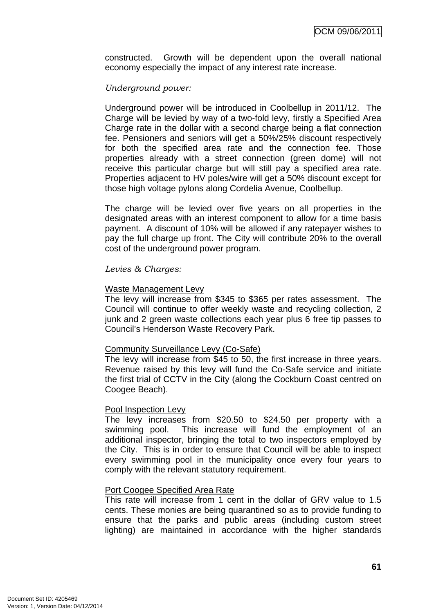constructed. Growth will be dependent upon the overall national economy especially the impact of any interest rate increase.

# *Underground power:*

Underground power will be introduced in Coolbellup in 2011/12. The Charge will be levied by way of a two-fold levy, firstly a Specified Area Charge rate in the dollar with a second charge being a flat connection fee. Pensioners and seniors will get a 50%/25% discount respectively for both the specified area rate and the connection fee. Those properties already with a street connection (green dome) will not receive this particular charge but will still pay a specified area rate. Properties adjacent to HV poles/wire will get a 50% discount except for those high voltage pylons along Cordelia Avenue, Coolbellup.

The charge will be levied over five years on all properties in the designated areas with an interest component to allow for a time basis payment. A discount of 10% will be allowed if any ratepayer wishes to pay the full charge up front. The City will contribute 20% to the overall cost of the underground power program.

# *Levies & Charges:*

### Waste Management Levy

The levy will increase from \$345 to \$365 per rates assessment. The Council will continue to offer weekly waste and recycling collection, 2 junk and 2 green waste collections each year plus 6 free tip passes to Council's Henderson Waste Recovery Park.

#### Community Surveillance Levy (Co-Safe)

The levy will increase from \$45 to 50, the first increase in three years. Revenue raised by this levy will fund the Co-Safe service and initiate the first trial of CCTV in the City (along the Cockburn Coast centred on Coogee Beach).

#### Pool Inspection Levy

The levy increases from \$20.50 to \$24.50 per property with a swimming pool. This increase will fund the employment of an additional inspector, bringing the total to two inspectors employed by the City. This is in order to ensure that Council will be able to inspect every swimming pool in the municipality once every four years to comply with the relevant statutory requirement.

# Port Coogee Specified Area Rate

This rate will increase from 1 cent in the dollar of GRV value to 1.5 cents. These monies are being quarantined so as to provide funding to ensure that the parks and public areas (including custom street lighting) are maintained in accordance with the higher standards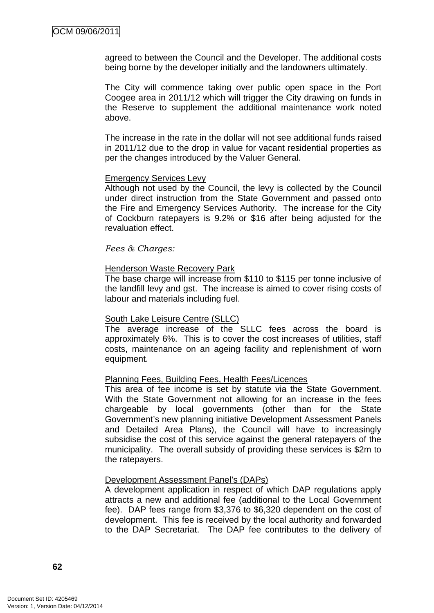agreed to between the Council and the Developer. The additional costs being borne by the developer initially and the landowners ultimately.

The City will commence taking over public open space in the Port Coogee area in 2011/12 which will trigger the City drawing on funds in the Reserve to supplement the additional maintenance work noted above.

The increase in the rate in the dollar will not see additional funds raised in 2011/12 due to the drop in value for vacant residential properties as per the changes introduced by the Valuer General.

#### Emergency Services Levy

Although not used by the Council, the levy is collected by the Council under direct instruction from the State Government and passed onto the Fire and Emergency Services Authority. The increase for the City of Cockburn ratepayers is 9.2% or \$16 after being adjusted for the revaluation effect.

*Fees & Charges:* 

#### Henderson Waste Recovery Park

The base charge will increase from \$110 to \$115 per tonne inclusive of the landfill levy and gst. The increase is aimed to cover rising costs of labour and materials including fuel.

#### South Lake Leisure Centre (SLLC)

The average increase of the SLLC fees across the board is approximately 6%. This is to cover the cost increases of utilities, staff costs, maintenance on an ageing facility and replenishment of worn equipment.

#### Planning Fees, Building Fees, Health Fees/Licences

This area of fee income is set by statute via the State Government. With the State Government not allowing for an increase in the fees chargeable by local governments (other than for the State Government's new planning initiative Development Assessment Panels and Detailed Area Plans), the Council will have to increasingly subsidise the cost of this service against the general ratepayers of the municipality. The overall subsidy of providing these services is \$2m to the ratepayers.

#### Development Assessment Panel's (DAPs)

A development application in respect of which DAP regulations apply attracts a new and additional fee (additional to the Local Government fee). DAP fees range from \$3,376 to \$6,320 dependent on the cost of development. This fee is received by the local authority and forwarded to the DAP Secretariat. The DAP fee contributes to the delivery of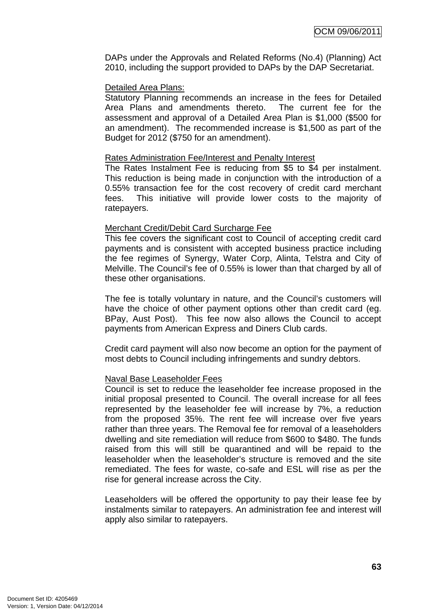DAPs under the Approvals and Related Reforms (No.4) (Planning) Act 2010, including the support provided to DAPs by the DAP Secretariat.

# Detailed Area Plans:

Statutory Planning recommends an increase in the fees for Detailed Area Plans and amendments thereto. The current fee for the assessment and approval of a Detailed Area Plan is \$1,000 (\$500 for an amendment). The recommended increase is \$1,500 as part of the Budget for 2012 (\$750 for an amendment).

### Rates Administration Fee/Interest and Penalty Interest

The Rates Instalment Fee is reducing from \$5 to \$4 per instalment. This reduction is being made in conjunction with the introduction of a 0.55% transaction fee for the cost recovery of credit card merchant fees. This initiative will provide lower costs to the majority of ratepayers.

# Merchant Credit/Debit Card Surcharge Fee

This fee covers the significant cost to Council of accepting credit card payments and is consistent with accepted business practice including the fee regimes of Synergy, Water Corp, Alinta, Telstra and City of Melville. The Council's fee of 0.55% is lower than that charged by all of these other organisations.

The fee is totally voluntary in nature, and the Council's customers will have the choice of other payment options other than credit card (eg. BPay, Aust Post). This fee now also allows the Council to accept payments from American Express and Diners Club cards.

Credit card payment will also now become an option for the payment of most debts to Council including infringements and sundry debtors.

# Naval Base Leaseholder Fees

Council is set to reduce the leaseholder fee increase proposed in the initial proposal presented to Council. The overall increase for all fees represented by the leaseholder fee will increase by 7%, a reduction from the proposed 35%. The rent fee will increase over five years rather than three years. The Removal fee for removal of a leaseholders dwelling and site remediation will reduce from \$600 to \$480. The funds raised from this will still be quarantined and will be repaid to the leaseholder when the leaseholder's structure is removed and the site remediated. The fees for waste, co-safe and ESL will rise as per the rise for general increase across the City.

Leaseholders will be offered the opportunity to pay their lease fee by instalments similar to ratepayers. An administration fee and interest will apply also similar to ratepayers.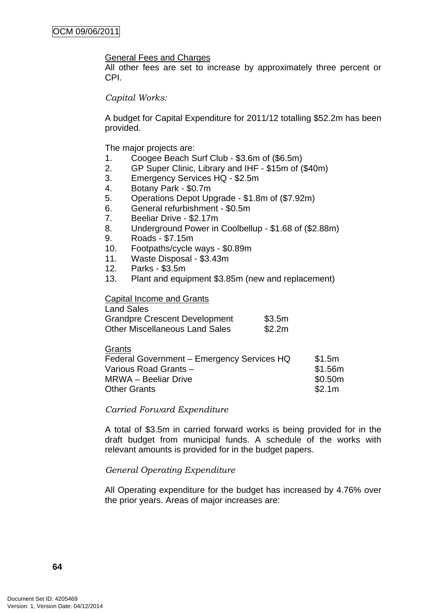### General Fees and Charges

All other fees are set to increase by approximately three percent or CPI.

#### *Capital Works:*

A budget for Capital Expenditure for 2011/12 totalling \$52.2m has been provided.

The major projects are:

- 1. Coogee Beach Surf Club \$3.6m of (\$6.5m)
- 2. GP Super Clinic, Library and IHF \$15m of (\$40m)
- 3. Emergency Services HQ \$2.5m
- 4. Botany Park \$0.7m
- 5. Operations Depot Upgrade \$1.8m of (\$7.92m)
- 6. General refurbishment \$0.5m
- 7. Beeliar Drive \$2.17m
- 8. Underground Power in Coolbellup \$1.68 of (\$2.88m)
- 9. Roads \$7.15m
- 10. Footpaths/cycle ways \$0.89m
- 11. Waste Disposal \$3.43m
- 12. Parks \$3.5m
- 13. Plant and equipment \$3.85m (new and replacement)

Capital Income and Grants

| <b>Land Sales</b>                     |        |
|---------------------------------------|--------|
| <b>Grandpre Crescent Development</b>  | \$3.5m |
| <b>Other Miscellaneous Land Sales</b> | \$2.2m |

| Federal Government - Emergency Services HQ | \$1.5m  |
|--------------------------------------------|---------|
| Various Road Grants -                      | \$1.56m |
| <b>MRWA - Beeliar Drive</b>                | \$0.50m |
| <b>Other Grants</b>                        | \$2.1m  |

#### *Carried Forward Expenditure*

A total of \$3.5m in carried forward works is being provided for in the draft budget from municipal funds. A schedule of the works with relevant amounts is provided for in the budget papers.

# *General Operating Expenditure*

All Operating expenditure for the budget has increased by 4.76% over the prior years. Areas of major increases are: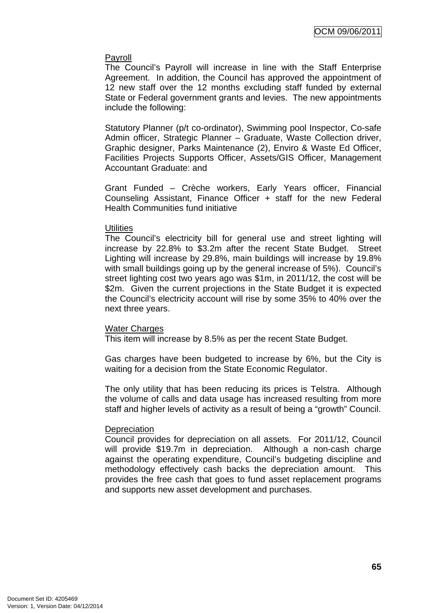### Payroll

The Council's Payroll will increase in line with the Staff Enterprise Agreement. In addition, the Council has approved the appointment of 12 new staff over the 12 months excluding staff funded by external State or Federal government grants and levies. The new appointments include the following:

Statutory Planner (p/t co-ordinator), Swimming pool Inspector, Co-safe Admin officer, Strategic Planner – Graduate, Waste Collection driver, Graphic designer, Parks Maintenance (2), Enviro & Waste Ed Officer, Facilities Projects Supports Officer, Assets/GIS Officer, Management Accountant Graduate: and

Grant Funded – Crèche workers, Early Years officer, Financial Counseling Assistant, Finance Officer + staff for the new Federal Health Communities fund initiative

### **Utilities**

The Council's electricity bill for general use and street lighting will increase by 22.8% to \$3.2m after the recent State Budget. Street Lighting will increase by 29.8%, main buildings will increase by 19.8% with small buildings going up by the general increase of 5%). Council's street lighting cost two years ago was \$1m, in 2011/12, the cost will be \$2m. Given the current projections in the State Budget it is expected the Council's electricity account will rise by some 35% to 40% over the next three years.

#### Water Charges

This item will increase by 8.5% as per the recent State Budget.

Gas charges have been budgeted to increase by 6%, but the City is waiting for a decision from the State Economic Regulator.

The only utility that has been reducing its prices is Telstra. Although the volume of calls and data usage has increased resulting from more staff and higher levels of activity as a result of being a "growth" Council.

# **Depreciation**

Council provides for depreciation on all assets. For 2011/12, Council will provide \$19.7m in depreciation. Although a non-cash charge against the operating expenditure, Council's budgeting discipline and methodology effectively cash backs the depreciation amount. This provides the free cash that goes to fund asset replacement programs and supports new asset development and purchases.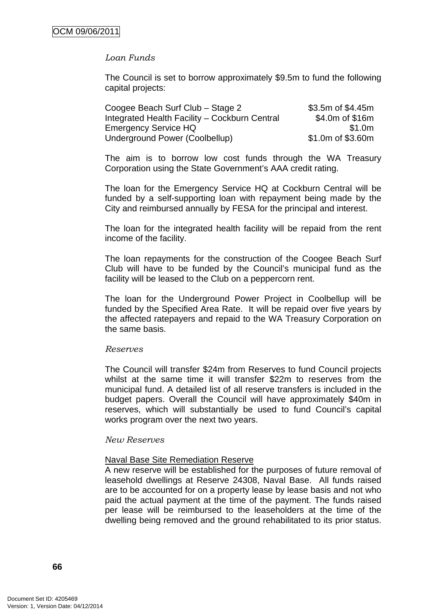# *Loan Funds*

The Council is set to borrow approximately \$9.5m to fund the following capital projects:

| Coogee Beach Surf Club - Stage 2              | \$3.5m of \$4.45m |
|-----------------------------------------------|-------------------|
| Integrated Health Facility - Cockburn Central | \$4.0m of \$16m   |
| Emergency Service HQ                          | \$1.0m            |
| Underground Power (Coolbellup)                | \$1.0m of \$3.60m |

The aim is to borrow low cost funds through the WA Treasury Corporation using the State Government's AAA credit rating.

The loan for the Emergency Service HQ at Cockburn Central will be funded by a self-supporting loan with repayment being made by the City and reimbursed annually by FESA for the principal and interest.

The loan for the integrated health facility will be repaid from the rent income of the facility.

The loan repayments for the construction of the Coogee Beach Surf Club will have to be funded by the Council's municipal fund as the facility will be leased to the Club on a peppercorn rent.

The loan for the Underground Power Project in Coolbellup will be funded by the Specified Area Rate. It will be repaid over five years by the affected ratepayers and repaid to the WA Treasury Corporation on the same basis.

#### *Reserves*

The Council will transfer \$24m from Reserves to fund Council projects whilst at the same time it will transfer \$22m to reserves from the municipal fund. A detailed list of all reserve transfers is included in the budget papers. Overall the Council will have approximately \$40m in reserves, which will substantially be used to fund Council's capital works program over the next two years.

#### *New Reserves*

#### Naval Base Site Remediation Reserve

A new reserve will be established for the purposes of future removal of leasehold dwellings at Reserve 24308, Naval Base. All funds raised are to be accounted for on a property lease by lease basis and not who paid the actual payment at the time of the payment. The funds raised per lease will be reimbursed to the leaseholders at the time of the dwelling being removed and the ground rehabilitated to its prior status.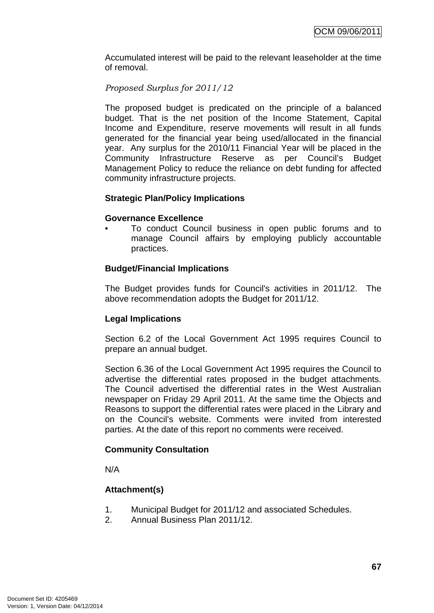Accumulated interest will be paid to the relevant leaseholder at the time of removal.

# *Proposed Surplus for 2011/12*

The proposed budget is predicated on the principle of a balanced budget. That is the net position of the Income Statement, Capital Income and Expenditure, reserve movements will result in all funds generated for the financial year being used/allocated in the financial year. Any surplus for the 2010/11 Financial Year will be placed in the Community Infrastructure Reserve as per Council's Budget Management Policy to reduce the reliance on debt funding for affected community infrastructure projects.

# **Strategic Plan/Policy Implications**

#### **Governance Excellence**

• To conduct Council business in open public forums and to manage Council affairs by employing publicly accountable practices.

# **Budget/Financial Implications**

The Budget provides funds for Council's activities in 2011/12. The above recommendation adopts the Budget for 2011/12.

# **Legal Implications**

Section 6.2 of the Local Government Act 1995 requires Council to prepare an annual budget.

Section 6.36 of the Local Government Act 1995 requires the Council to advertise the differential rates proposed in the budget attachments. The Council advertised the differential rates in the West Australian newspaper on Friday 29 April 2011. At the same time the Objects and Reasons to support the differential rates were placed in the Library and on the Council's website. Comments were invited from interested parties. At the date of this report no comments were received.

# **Community Consultation**

N/A

# **Attachment(s)**

- 1. Municipal Budget for 2011/12 and associated Schedules.
- 2. Annual Business Plan 2011/12.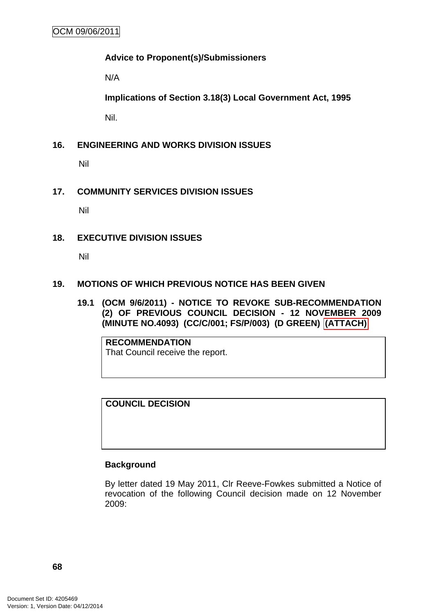# **Advice to Proponent(s)/Submissioners**

N/A

**Implications of Section 3.18(3) Local Government Act, 1995**

Nil.

# **16. ENGINEERING AND WORKS DIVISION ISSUES**

Nil

# **17. COMMUNITY SERVICES DIVISION ISSUES**

Nil

# **18. EXECUTIVE DIVISION ISSUES**

Nil

# **19. MOTIONS OF WHICH PREVIOUS NOTICE HAS BEEN GIVEN**

**19.1 (OCM 9/6/2011) - NOTICE TO REVOKE SUB-RECOMMENDATION (2) OF PREVIOUS COUNCIL DECISION - 12 NOVEMBER 2009 (MINUTE NO.4093) (CC/C/001; FS/P/003) (D GREEN) (ATTACH)** 

**RECOMMENDATION** That Council receive the report.

**COUNCIL DECISION** 

# **Background**

By letter dated 19 May 2011, Clr Reeve-Fowkes submitted a Notice of revocation of the following Council decision made on 12 November 2009: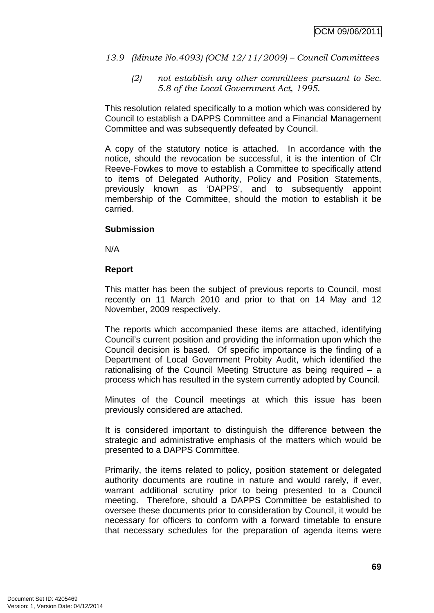## *13.9 (Minute No.4093) (OCM 12/11/2009) – Council Committees*

*(2) not establish any other committees pursuant to Sec. 5.8 of the Local Government Act, 1995.*

This resolution related specifically to a motion which was considered by Council to establish a DAPPS Committee and a Financial Management Committee and was subsequently defeated by Council.

A copy of the statutory notice is attached. In accordance with the notice, should the revocation be successful, it is the intention of Clr Reeve-Fowkes to move to establish a Committee to specifically attend to items of Delegated Authority, Policy and Position Statements, previously known as 'DAPPS', and to subsequently appoint membership of the Committee, should the motion to establish it be carried.

## **Submission**

N/A

#### **Report**

This matter has been the subject of previous reports to Council, most recently on 11 March 2010 and prior to that on 14 May and 12 November, 2009 respectively.

The reports which accompanied these items are attached, identifying Council's current position and providing the information upon which the Council decision is based. Of specific importance is the finding of a Department of Local Government Probity Audit, which identified the rationalising of the Council Meeting Structure as being required – a process which has resulted in the system currently adopted by Council.

Minutes of the Council meetings at which this issue has been previously considered are attached.

It is considered important to distinguish the difference between the strategic and administrative emphasis of the matters which would be presented to a DAPPS Committee.

Primarily, the items related to policy, position statement or delegated authority documents are routine in nature and would rarely, if ever, warrant additional scrutiny prior to being presented to a Council meeting. Therefore, should a DAPPS Committee be established to oversee these documents prior to consideration by Council, it would be necessary for officers to conform with a forward timetable to ensure that necessary schedules for the preparation of agenda items were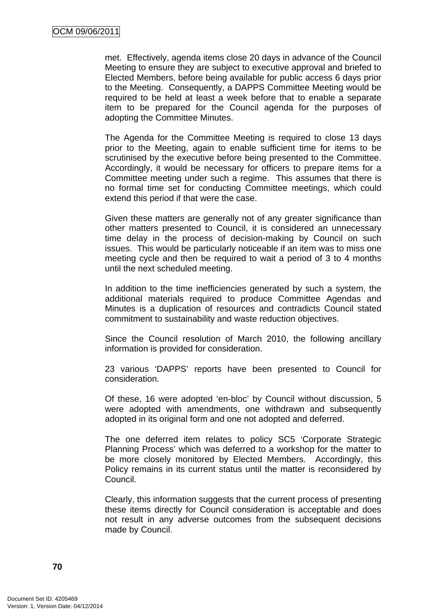met. Effectively, agenda items close 20 days in advance of the Council Meeting to ensure they are subject to executive approval and briefed to Elected Members, before being available for public access 6 days prior to the Meeting. Consequently, a DAPPS Committee Meeting would be required to be held at least a week before that to enable a separate item to be prepared for the Council agenda for the purposes of adopting the Committee Minutes.

The Agenda for the Committee Meeting is required to close 13 days prior to the Meeting, again to enable sufficient time for items to be scrutinised by the executive before being presented to the Committee. Accordingly, it would be necessary for officers to prepare items for a Committee meeting under such a regime. This assumes that there is no formal time set for conducting Committee meetings, which could extend this period if that were the case.

Given these matters are generally not of any greater significance than other matters presented to Council, it is considered an unnecessary time delay in the process of decision-making by Council on such issues. This would be particularly noticeable if an item was to miss one meeting cycle and then be required to wait a period of 3 to 4 months until the next scheduled meeting.

In addition to the time inefficiencies generated by such a system, the additional materials required to produce Committee Agendas and Minutes is a duplication of resources and contradicts Council stated commitment to sustainability and waste reduction objectives.

Since the Council resolution of March 2010, the following ancillary information is provided for consideration.

23 various 'DAPPS' reports have been presented to Council for consideration.

Of these, 16 were adopted 'en-bloc' by Council without discussion, 5 were adopted with amendments, one withdrawn and subsequently adopted in its original form and one not adopted and deferred.

The one deferred item relates to policy SC5 'Corporate Strategic Planning Process' which was deferred to a workshop for the matter to be more closely monitored by Elected Members. Accordingly, this Policy remains in its current status until the matter is reconsidered by Council.

Clearly, this information suggests that the current process of presenting these items directly for Council consideration is acceptable and does not result in any adverse outcomes from the subsequent decisions made by Council.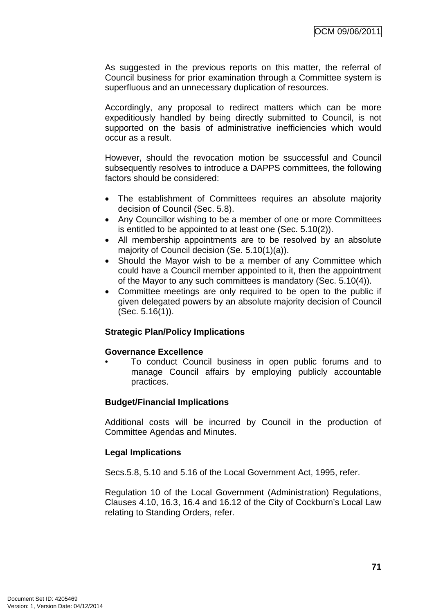As suggested in the previous reports on this matter, the referral of Council business for prior examination through a Committee system is superfluous and an unnecessary duplication of resources.

Accordingly, any proposal to redirect matters which can be more expeditiously handled by being directly submitted to Council, is not supported on the basis of administrative inefficiencies which would occur as a result.

However, should the revocation motion be ssuccessful and Council subsequently resolves to introduce a DAPPS committees, the following factors should be considered:

- The establishment of Committees requires an absolute majority decision of Council (Sec. 5.8).
- Any Councillor wishing to be a member of one or more Committees is entitled to be appointed to at least one (Sec. 5.10(2)).
- All membership appointments are to be resolved by an absolute majority of Council decision (Se. 5.10(1)(a)).
- Should the Mayor wish to be a member of any Committee which could have a Council member appointed to it, then the appointment of the Mayor to any such committees is mandatory (Sec. 5.10(4)).
- Committee meetings are only required to be open to the public if given delegated powers by an absolute majority decision of Council (Sec. 5.16(1)).

## **Strategic Plan/Policy Implications**

#### **Governance Excellence**

• To conduct Council business in open public forums and to manage Council affairs by employing publicly accountable practices.

#### **Budget/Financial Implications**

Additional costs will be incurred by Council in the production of Committee Agendas and Minutes.

## **Legal Implications**

Secs.5.8, 5.10 and 5.16 of the Local Government Act, 1995, refer.

Regulation 10 of the Local Government (Administration) Regulations, Clauses 4.10, 16.3, 16.4 and 16.12 of the City of Cockburn's Local Law relating to Standing Orders, refer.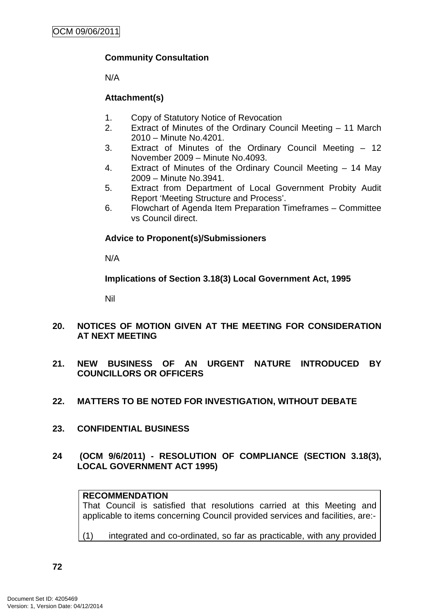## **Community Consultation**

N/A

## **Attachment(s)**

- 1. Copy of Statutory Notice of Revocation
- 2. Extract of Minutes of the Ordinary Council Meeting 11 March 2010 – Minute No.4201.
- 3. Extract of Minutes of the Ordinary Council Meeting 12 November 2009 – Minute No.4093.
- 4. Extract of Minutes of the Ordinary Council Meeting 14 May 2009 – Minute No.3941.
- 5. Extract from Department of Local Government Probity Audit Report 'Meeting Structure and Process'.
- 6. Flowchart of Agenda Item Preparation Timeframes Committee vs Council direct.

## **Advice to Proponent(s)/Submissioners**

N/A

**Implications of Section 3.18(3) Local Government Act, 1995**

Nil

- **20. NOTICES OF MOTION GIVEN AT THE MEETING FOR CONSIDERATION AT NEXT MEETING**
- **21. NEW BUSINESS OF AN URGENT NATURE INTRODUCED BY COUNCILLORS OR OFFICERS**
- **22. MATTERS TO BE NOTED FOR INVESTIGATION, WITHOUT DEBATE**
- **23. CONFIDENTIAL BUSINESS**

# **24 (OCM 9/6/2011) - RESOLUTION OF COMPLIANCE (SECTION 3.18(3), LOCAL GOVERNMENT ACT 1995)**

## **RECOMMENDATION**

That Council is satisfied that resolutions carried at this Meeting and applicable to items concerning Council provided services and facilities, are:-

(1) integrated and co-ordinated, so far as practicable, with any provided